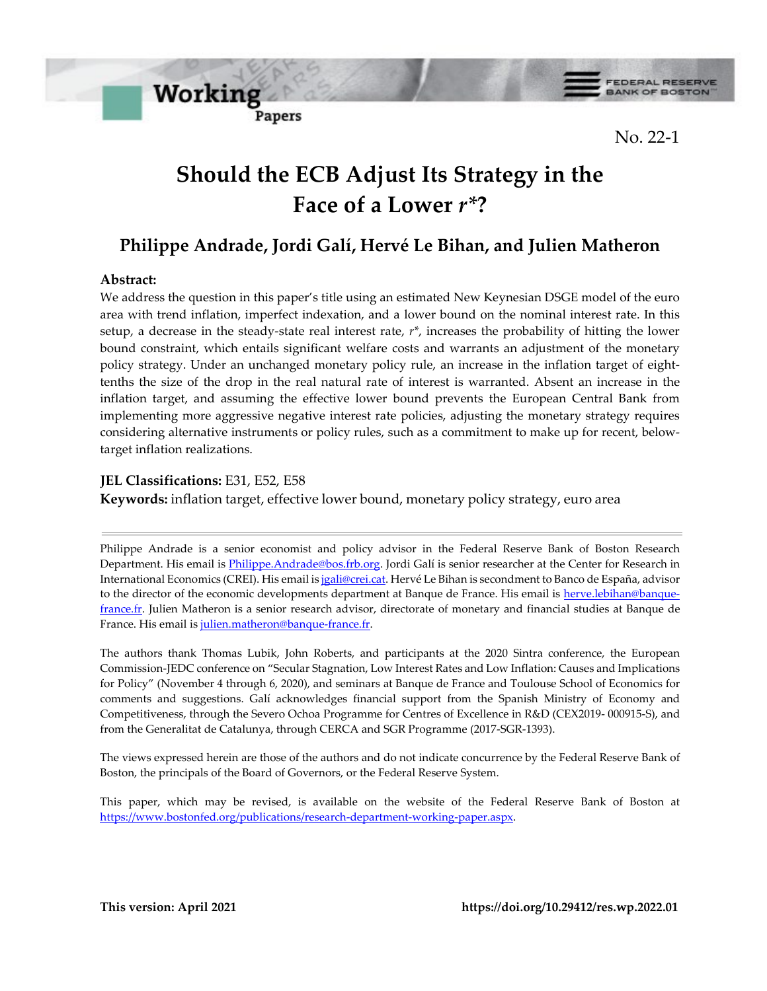**FEDERAL RESERVE BANK OF BOSTON** 

No. 22-1

# **Should the ECB Adjust Its Strategy in the Face of a Lower** *r\****?**

## **Philippe Andrade, Jordi Galí, Hervé Le Bihan, and Julien Matheron**

### **Abstract:**

We address the question in this paper's title using an estimated New Keynesian DSGE model of the euro area with trend inflation, imperfect indexation, and a lower bound on the nominal interest rate. In this setup, a decrease in the steady-state real interest rate, *r\**, increases the probability of hitting the lower bound constraint, which entails significant welfare costs and warrants an adjustment of the monetary policy strategy. Under an unchanged monetary policy rule, an increase in the inflation target of eighttenths the size of the drop in the real natural rate of interest is warranted. Absent an increase in the inflation target, and assuming the effective lower bound prevents the European Central Bank from implementing more aggressive negative interest rate policies, adjusting the monetary strategy requires considering alternative instruments or policy rules, such as a commitment to make up for recent, belowtarget inflation realizations.

#### **JEL Classifications:** E31, E52, E58

**Working** 

Papers

**Keywords:** inflation target, effective lower bound, monetary policy strategy, euro area

Philippe Andrade is a senior economist and policy advisor in the Federal Reserve Bank of Boston Research Department. His email i[s Philippe.Andrade@bos.frb.org.](mailto:Philippe.Andrade@bos.frb.org) Jordi Galí is senior researcher at the Center for Research in International Economics (CREI). His email i[s jgali@crei.cat.](mailto:jgali@crei.cat) Hervé Le Bihan is secondment to Banco de España, advisor to the director of the economic developments department at Banque de France. His email is [herve.lebihan@banque](mailto:herve.lebihan@banque-france.fr)[france.fr.](mailto:herve.lebihan@banque-france.fr) Julien Matheron is a senior research advisor, directorate of monetary and financial studies at Banque de France. His email is [julien.matheron@banque-france.fr.](mailto:julien.matheron@banque-france.fr)

The authors thank Thomas Lubik, John Roberts, and participants at the 2020 Sintra conference, the European Commission-JEDC conference on "Secular Stagnation, Low Interest Rates and Low Inflation: Causes and Implications for Policy" (November 4 through 6, 2020), and seminars at Banque de France and Toulouse School of Economics for comments and suggestions. Galí acknowledges financial support from the Spanish Ministry of Economy and Competitiveness, through the Severo Ochoa Programme for Centres of Excellence in R&D (CEX2019- 000915-S), and from the Generalitat de Catalunya, through CERCA and SGR Programme (2017-SGR-1393).

The views expressed herein are those of the authors and do not indicate concurrence by the Federal Reserve Bank of Boston, the principals of the Board of Governors, or the Federal Reserve System.

This paper, which may be revised, is available on the website of the Federal Reserve Bank of Boston at [https://www.bostonfed.org/publications/research-department-working-paper.aspx.](https://www.bostonfed.org/publications/research-department-working-paper.aspx)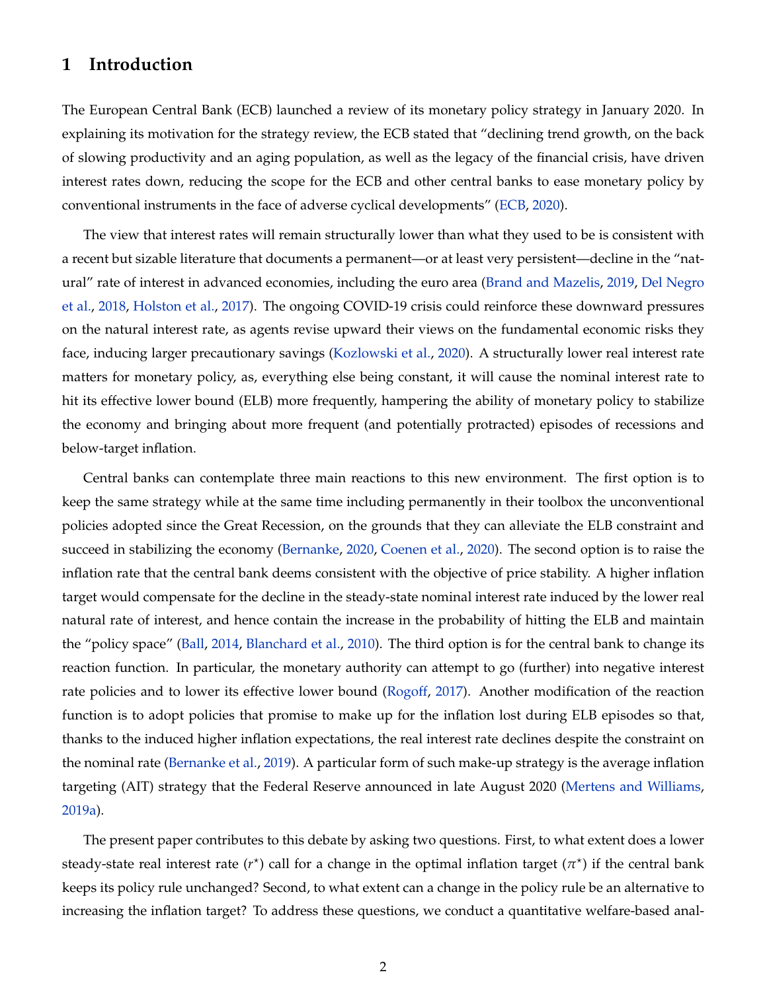### **1 Introduction**

The European Central Bank (ECB) launched a review of its monetary policy strategy in January 2020. In explaining its motivation for the strategy review, the ECB stated that "declining trend growth, on the back of slowing productivity and an aging population, as well as the legacy of the financial crisis, have driven interest rates down, reducing the scope for the ECB and other central banks to ease monetary policy by conventional instruments in the face of adverse cyclical developments" [\(ECB,](#page-35-0) [2020\)](#page-35-0).

The view that interest rates will remain structurally lower than what they used to be is consistent with a recent but sizable literature that documents a permanent—or at least very persistent—decline in the "natural" rate of interest in advanced economies, including the euro area [\(Brand and Mazelis,](#page-34-0) [2019,](#page-34-0) [Del Negro](#page-35-1) [et al.,](#page-35-1) [2018,](#page-35-1) [Holston et al.,](#page-35-2) [2017\)](#page-35-2). The ongoing COVID-19 crisis could reinforce these downward pressures on the natural interest rate, as agents revise upward their views on the fundamental economic risks they face, inducing larger precautionary savings [\(Kozlowski et al.,](#page-36-0) [2020\)](#page-36-0). A structurally lower real interest rate matters for monetary policy, as, everything else being constant, it will cause the nominal interest rate to hit its effective lower bound (ELB) more frequently, hampering the ability of monetary policy to stabilize the economy and bringing about more frequent (and potentially protracted) episodes of recessions and below-target inflation.

Central banks can contemplate three main reactions to this new environment. The first option is to keep the same strategy while at the same time including permanently in their toolbox the unconventional policies adopted since the Great Recession, on the grounds that they can alleviate the ELB constraint and succeed in stabilizing the economy [\(Bernanke,](#page-34-1) [2020,](#page-34-1) [Coenen et al.,](#page-34-2) [2020\)](#page-34-2). The second option is to raise the inflation rate that the central bank deems consistent with the objective of price stability. A higher inflation target would compensate for the decline in the steady-state nominal interest rate induced by the lower real natural rate of interest, and hence contain the increase in the probability of hitting the ELB and maintain the "policy space" [\(Ball,](#page-33-0) [2014,](#page-33-0) [Blanchard et al.,](#page-34-3) [2010\)](#page-34-3). The third option is for the central bank to change its reaction function. In particular, the monetary authority can attempt to go (further) into negative interest rate policies and to lower its effective lower bound [\(Rogoff,](#page-36-1) [2017\)](#page-36-1). Another modification of the reaction function is to adopt policies that promise to make up for the inflation lost during ELB episodes so that, thanks to the induced higher inflation expectations, the real interest rate declines despite the constraint on the nominal rate [\(Bernanke et al.,](#page-34-4) [2019\)](#page-34-4). A particular form of such make-up strategy is the average inflation targeting (AIT) strategy that the Federal Reserve announced in late August 2020 [\(Mertens and Williams,](#page-36-2) [2019a\)](#page-36-2).

The present paper contributes to this debate by asking two questions. First, to what extent does a lower steady-state real interest rate ( $r^*$ ) call for a change in the optimal inflation target ( $\pi^*$ ) if the central bank keeps its policy rule unchanged? Second, to what extent can a change in the policy rule be an alternative to increasing the inflation target? To address these questions, we conduct a quantitative welfare-based anal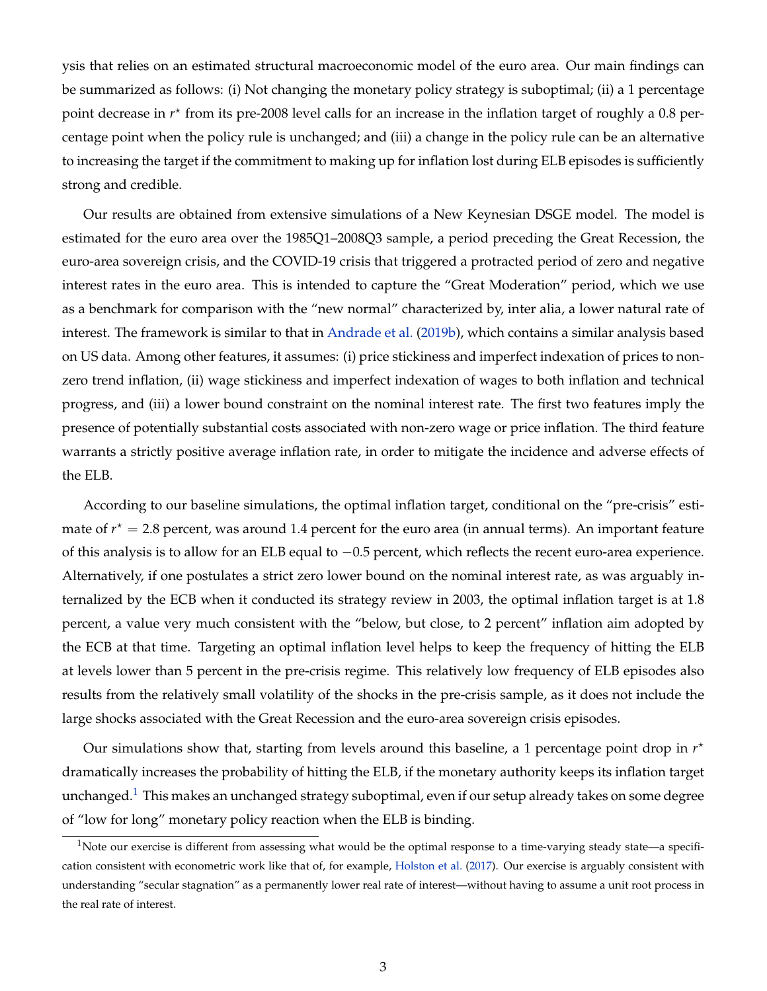ysis that relies on an estimated structural macroeconomic model of the euro area. Our main findings can be summarized as follows: (i) Not changing the monetary policy strategy is suboptimal; (ii) a 1 percentage point decrease in  $r<sup>*</sup>$  from its pre-2008 level calls for an increase in the inflation target of roughly a 0.8 percentage point when the policy rule is unchanged; and (iii) a change in the policy rule can be an alternative to increasing the target if the commitment to making up for inflation lost during ELB episodes is sufficiently strong and credible.

Our results are obtained from extensive simulations of a New Keynesian DSGE model. The model is estimated for the euro area over the 1985Q1–2008Q3 sample, a period preceding the Great Recession, the euro-area sovereign crisis, and the COVID-19 crisis that triggered a protracted period of zero and negative interest rates in the euro area. This is intended to capture the "Great Moderation" period, which we use as a benchmark for comparison with the "new normal" characterized by, inter alia, a lower natural rate of interest. The framework is similar to that in [Andrade et al.](#page-33-1) [\(2019b\)](#page-33-1), which contains a similar analysis based on US data. Among other features, it assumes: (i) price stickiness and imperfect indexation of prices to nonzero trend inflation, (ii) wage stickiness and imperfect indexation of wages to both inflation and technical progress, and (iii) a lower bound constraint on the nominal interest rate. The first two features imply the presence of potentially substantial costs associated with non-zero wage or price inflation. The third feature warrants a strictly positive average inflation rate, in order to mitigate the incidence and adverse effects of the ELB.

According to our baseline simulations, the optimal inflation target, conditional on the "pre-crisis" estimate of  $r^* = 2.8$  percent, was around 1.4 percent for the euro area (in annual terms). An important feature of this analysis is to allow for an ELB equal to −0.5 percent, which reflects the recent euro-area experience. Alternatively, if one postulates a strict zero lower bound on the nominal interest rate, as was arguably internalized by the ECB when it conducted its strategy review in 2003, the optimal inflation target is at 1.8 percent, a value very much consistent with the "below, but close, to 2 percent" inflation aim adopted by the ECB at that time. Targeting an optimal inflation level helps to keep the frequency of hitting the ELB at levels lower than 5 percent in the pre-crisis regime. This relatively low frequency of ELB episodes also results from the relatively small volatility of the shocks in the pre-crisis sample, as it does not include the large shocks associated with the Great Recession and the euro-area sovereign crisis episodes.

Our simulations show that, starting from levels around this baseline, a 1 percentage point drop in  $r^*$ dramatically increases the probability of hitting the ELB, if the monetary authority keeps its inflation target unchanged.<sup>[1](#page-2-0)</sup> This makes an unchanged strategy suboptimal, even if our setup already takes on some degree of "low for long" monetary policy reaction when the ELB is binding.

<span id="page-2-0"></span><sup>&</sup>lt;sup>1</sup>Note our exercise is different from assessing what would be the optimal response to a time-varying steady state—a specification consistent with econometric work like that of, for example, [Holston et al.](#page-35-2) [\(2017\)](#page-35-2). Our exercise is arguably consistent with understanding "secular stagnation" as a permanently lower real rate of interest—without having to assume a unit root process in the real rate of interest.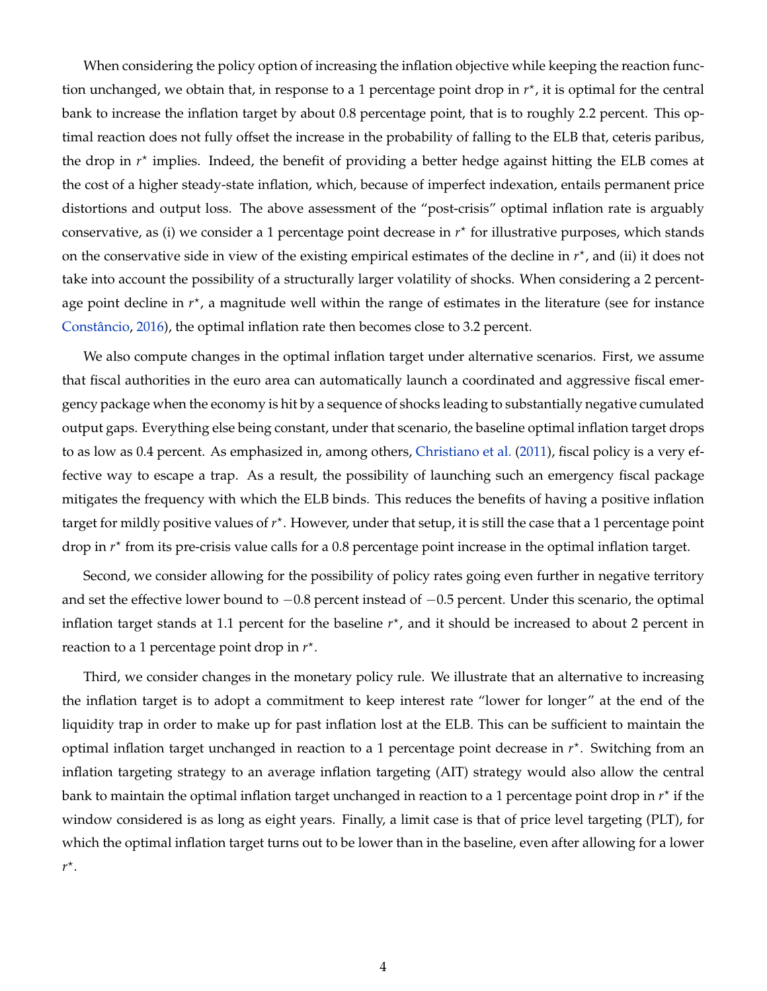When considering the policy option of increasing the inflation objective while keeping the reaction function unchanged, we obtain that, in response to a 1 percentage point drop in  $r^*$ , it is optimal for the central bank to increase the inflation target by about 0.8 percentage point, that is to roughly 2.2 percent. This optimal reaction does not fully offset the increase in the probability of falling to the ELB that, ceteris paribus, the drop in  $r^*$  implies. Indeed, the benefit of providing a better hedge against hitting the ELB comes at the cost of a higher steady-state inflation, which, because of imperfect indexation, entails permanent price distortions and output loss. The above assessment of the "post-crisis" optimal inflation rate is arguably conservative, as (i) we consider a 1 percentage point decrease in  $r^*$  for illustrative purposes, which stands on the conservative side in view of the existing empirical estimates of the decline in  $r^*$ , and (ii) it does not take into account the possibility of a structurally larger volatility of shocks. When considering a 2 percentage point decline in  $r^*$ , a magnitude well within the range of estimates in the literature (see for instance [Constâncio,](#page-35-3) [2016\)](#page-35-3), the optimal inflation rate then becomes close to 3.2 percent.

We also compute changes in the optimal inflation target under alternative scenarios. First, we assume that fiscal authorities in the euro area can automatically launch a coordinated and aggressive fiscal emergency package when the economy is hit by a sequence of shocks leading to substantially negative cumulated output gaps. Everything else being constant, under that scenario, the baseline optimal inflation target drops to as low as 0.4 percent. As emphasized in, among others, [Christiano et al.](#page-34-5) [\(2011\)](#page-34-5), fiscal policy is a very effective way to escape a trap. As a result, the possibility of launching such an emergency fiscal package mitigates the frequency with which the ELB binds. This reduces the benefits of having a positive inflation target for mildly positive values of  $r^*$ . However, under that setup, it is still the case that a 1 percentage point drop in  $r^*$  from its pre-crisis value calls for a 0.8 percentage point increase in the optimal inflation target.

Second, we consider allowing for the possibility of policy rates going even further in negative territory and set the effective lower bound to −0.8 percent instead of −0.5 percent. Under this scenario, the optimal inflation target stands at 1.1 percent for the baseline  $r^*$ , and it should be increased to about 2 percent in reaction to a 1 percentage point drop in  $r^*$ .

Third, we consider changes in the monetary policy rule. We illustrate that an alternative to increasing the inflation target is to adopt a commitment to keep interest rate "lower for longer" at the end of the liquidity trap in order to make up for past inflation lost at the ELB. This can be sufficient to maintain the optimal inflation target unchanged in reaction to a 1 percentage point decrease in  $r^*$ . Switching from an inflation targeting strategy to an average inflation targeting (AIT) strategy would also allow the central bank to maintain the optimal inflation target unchanged in reaction to a 1 percentage point drop in  $r^{\star}$  if the window considered is as long as eight years. Finally, a limit case is that of price level targeting (PLT), for which the optimal inflation target turns out to be lower than in the baseline, even after allowing for a lower *r* ? .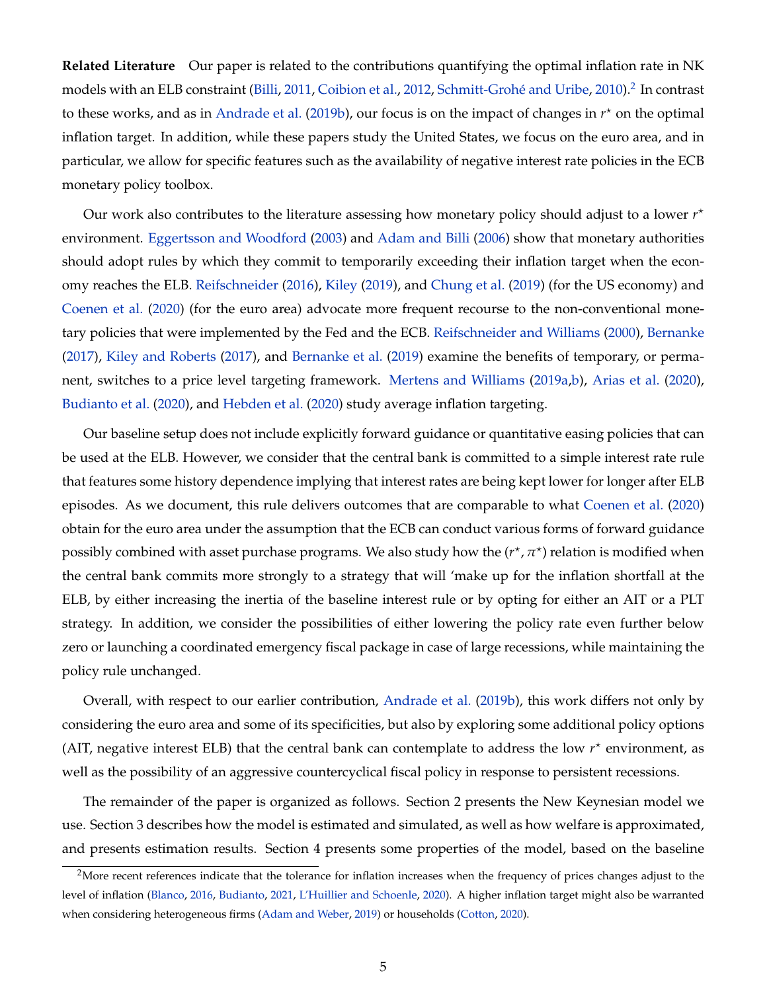**Related Literature** Our paper is related to the contributions quantifying the optimal inflation rate in NK models with an ELB constraint [\(Billi,](#page-34-6) [2011,](#page-34-6) [Coibion et al.,](#page-35-4) [2012,](#page-35-4) [Schmitt-Grohé and Uribe,](#page-36-3) [2010\)](#page-36-3).<sup>[2](#page-4-0)</sup> In contrast to these works, and as in [Andrade et al.](#page-33-1) [\(2019b\)](#page-33-1), our focus is on the impact of changes in  $r^*$  on the optimal inflation target. In addition, while these papers study the United States, we focus on the euro area, and in particular, we allow for specific features such as the availability of negative interest rate policies in the ECB monetary policy toolbox.

Our work also contributes to the literature assessing how monetary policy should adjust to a lower *r* ? environment. [Eggertsson and Woodford](#page-35-5) [\(2003\)](#page-35-5) and [Adam and Billi](#page-33-2) [\(2006\)](#page-33-2) show that monetary authorities should adopt rules by which they commit to temporarily exceeding their inflation target when the economy reaches the ELB. [Reifschneider](#page-36-4) [\(2016\)](#page-36-4), [Kiley](#page-36-5) [\(2019\)](#page-36-5), and [Chung et al.](#page-34-7) [\(2019\)](#page-34-7) (for the US economy) and [Coenen et al.](#page-34-2) [\(2020\)](#page-34-2) (for the euro area) advocate more frequent recourse to the non-conventional monetary policies that were implemented by the Fed and the ECB. [Reifschneider and Williams](#page-36-6) [\(2000\)](#page-36-6), [Bernanke](#page-33-3) [\(2017\)](#page-33-3), [Kiley and Roberts](#page-36-7) [\(2017\)](#page-36-7), and [Bernanke et al.](#page-34-4) [\(2019\)](#page-34-4) examine the benefits of temporary, or permanent, switches to a price level targeting framework. [Mertens and Williams](#page-36-2) [\(2019a,](#page-36-2)[b\)](#page-36-8), [Arias et al.](#page-33-4) [\(2020\)](#page-33-4), [Budianto et al.](#page-34-8) [\(2020\)](#page-34-8), and [Hebden et al.](#page-35-6) [\(2020\)](#page-35-6) study average inflation targeting.

Our baseline setup does not include explicitly forward guidance or quantitative easing policies that can be used at the ELB. However, we consider that the central bank is committed to a simple interest rate rule that features some history dependence implying that interest rates are being kept lower for longer after ELB episodes. As we document, this rule delivers outcomes that are comparable to what [Coenen et al.](#page-34-2) [\(2020\)](#page-34-2) obtain for the euro area under the assumption that the ECB can conduct various forms of forward guidance possibly combined with asset purchase programs. We also study how the  $(r^{\star}, \pi^{\star})$  relation is modified when the central bank commits more strongly to a strategy that will 'make up for the inflation shortfall at the ELB, by either increasing the inertia of the baseline interest rule or by opting for either an AIT or a PLT strategy. In addition, we consider the possibilities of either lowering the policy rate even further below zero or launching a coordinated emergency fiscal package in case of large recessions, while maintaining the policy rule unchanged.

Overall, with respect to our earlier contribution, [Andrade et al.](#page-33-1) [\(2019b\)](#page-33-1), this work differs not only by considering the euro area and some of its specificities, but also by exploring some additional policy options (AIT, negative interest ELB) that the central bank can contemplate to address the low  $r<sup>*</sup>$  environment, as well as the possibility of an aggressive countercyclical fiscal policy in response to persistent recessions.

The remainder of the paper is organized as follows. Section 2 presents the New Keynesian model we use. Section 3 describes how the model is estimated and simulated, as well as how welfare is approximated, and presents estimation results. Section 4 presents some properties of the model, based on the baseline

<span id="page-4-0"></span><sup>&</sup>lt;sup>2</sup>More recent references indicate that the tolerance for inflation increases when the frequency of prices changes adjust to the level of inflation [\(Blanco,](#page-34-9) [2016,](#page-34-9) [Budianto,](#page-34-10) [2021,](#page-34-10) [L'Huillier and Schoenle,](#page-36-9) [2020\)](#page-36-9). A higher inflation target might also be warranted when considering heterogeneous firms [\(Adam and Weber,](#page-33-5) [2019\)](#page-33-5) or households [\(Cotton,](#page-35-7) [2020\)](#page-35-7).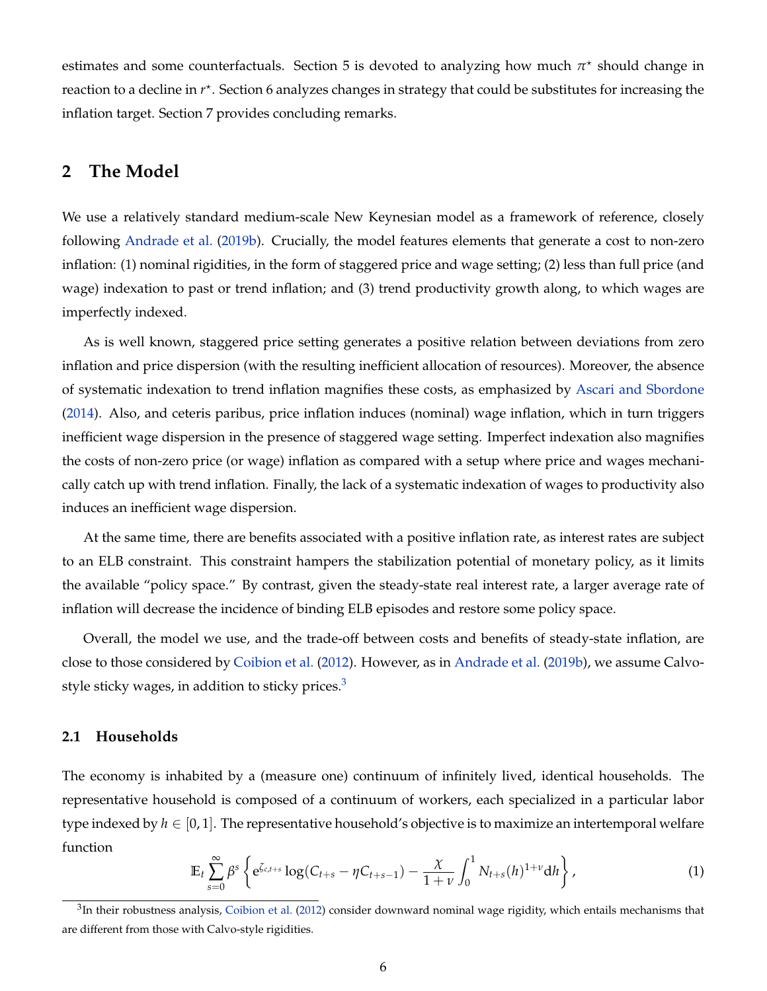estimates and some counterfactuals. Section 5 is devoted to analyzing how much  $\pi^*$  should change in reaction to a decline in  $r^*$ . Section 6 analyzes changes in strategy that could be substitutes for increasing the inflation target. Section 7 provides concluding remarks.

### **2 The Model**

We use a relatively standard medium-scale New Keynesian model as a framework of reference, closely following [Andrade et al.](#page-33-1) [\(2019b\)](#page-33-1). Crucially, the model features elements that generate a cost to non-zero inflation: (1) nominal rigidities, in the form of staggered price and wage setting; (2) less than full price (and wage) indexation to past or trend inflation; and (3) trend productivity growth along, to which wages are imperfectly indexed.

As is well known, staggered price setting generates a positive relation between deviations from zero inflation and price dispersion (with the resulting inefficient allocation of resources). Moreover, the absence of systematic indexation to trend inflation magnifies these costs, as emphasized by [Ascari and Sbordone](#page-33-6) [\(2014\)](#page-33-6). Also, and ceteris paribus, price inflation induces (nominal) wage inflation, which in turn triggers inefficient wage dispersion in the presence of staggered wage setting. Imperfect indexation also magnifies the costs of non-zero price (or wage) inflation as compared with a setup where price and wages mechanically catch up with trend inflation. Finally, the lack of a systematic indexation of wages to productivity also induces an inefficient wage dispersion.

At the same time, there are benefits associated with a positive inflation rate, as interest rates are subject to an ELB constraint. This constraint hampers the stabilization potential of monetary policy, as it limits the available "policy space." By contrast, given the steady-state real interest rate, a larger average rate of inflation will decrease the incidence of binding ELB episodes and restore some policy space.

Overall, the model we use, and the trade-off between costs and benefits of steady-state inflation, are close to those considered by [Coibion et al.](#page-35-4) [\(2012\)](#page-35-4). However, as in [Andrade et al.](#page-33-1) [\(2019b\)](#page-33-1), we assume Calvostyle sticky wages, in addition to sticky prices. $3$ 

#### **2.1 Households**

The economy is inhabited by a (measure one) continuum of infinitely lived, identical households. The representative household is composed of a continuum of workers, each specialized in a particular labor type indexed by  $h \in [0, 1]$ . The representative household's objective is to maximize an intertemporal welfare function

<span id="page-5-1"></span>
$$
\mathbb{E}_{t} \sum_{s=0}^{\infty} \beta^{s} \left\{ e^{\zeta_{c,t+s}} \log(C_{t+s} - \eta C_{t+s-1}) - \frac{\chi}{1+\nu} \int_{0}^{1} N_{t+s}(h)^{1+\nu} dh \right\},
$$
(1)

<span id="page-5-0"></span> ${}^{3}$ In their robustness analysis, [Coibion et al.](#page-35-4) [\(2012\)](#page-35-4) consider downward nominal wage rigidity, which entails mechanisms that are different from those with Calvo-style rigidities.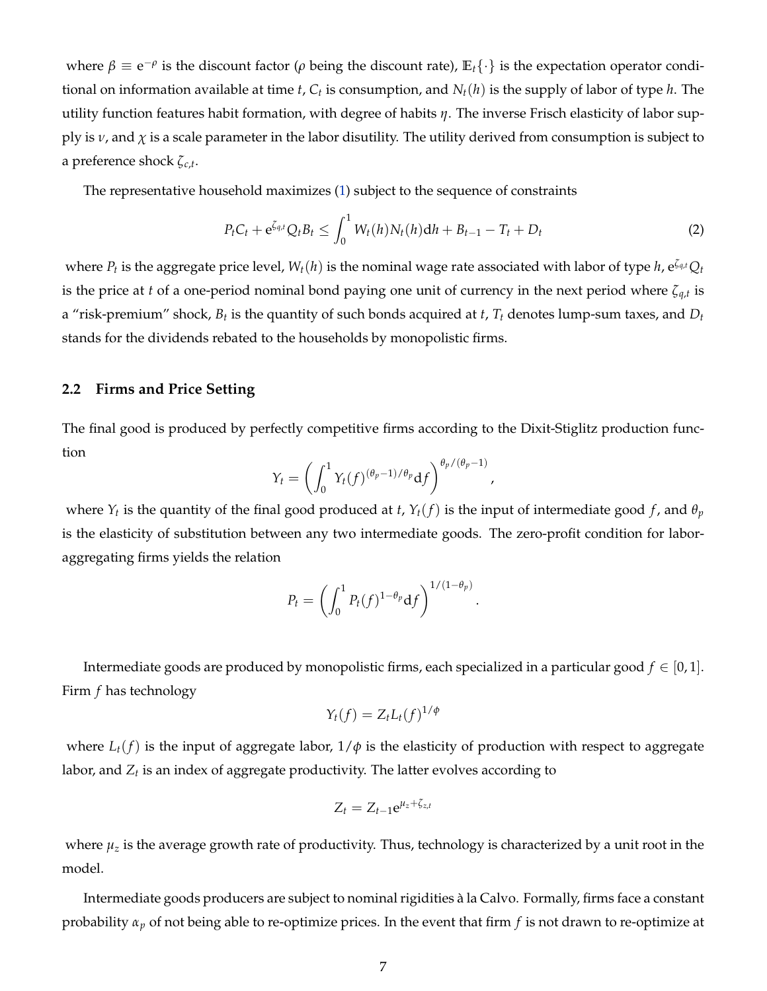where  $\beta \equiv e^{-\rho}$  is the discount factor ( $\rho$  being the discount rate),  $\mathbb{E}_t\{\cdot\}$  is the expectation operator conditional on information available at time *t*, *C<sup>t</sup>* is consumption, and *Nt*(*h*) is the supply of labor of type *h*. The utility function features habit formation, with degree of habits *η*. The inverse Frisch elasticity of labor supply is  $\nu$ , and  $\chi$  is a scale parameter in the labor disutility. The utility derived from consumption is subject to a preference shock *ζc*,*<sup>t</sup>* .

The representative household maximizes [\(1\)](#page-5-1) subject to the sequence of constraints

$$
P_t C_t + e^{\zeta_{q,t}} Q_t B_t \le \int_0^1 W_t(h) N_t(h) dh + B_{t-1} - T_t + D_t
$$
\n(2)

,

.

where  $P_t$  is the aggregate price level,  $W_t(h)$  is the nominal wage rate associated with labor of type  $h$ , e $^{\zeta_{q,t}}Q_t$ is the price at *t* of a one-period nominal bond paying one unit of currency in the next period where *ζq*,*<sup>t</sup>* is a "risk-premium" shock, *B<sup>t</sup>* is the quantity of such bonds acquired at *t*, *T<sup>t</sup>* denotes lump-sum taxes, and *D<sup>t</sup>* stands for the dividends rebated to the households by monopolistic firms.

#### **2.2 Firms and Price Setting**

The final good is produced by perfectly competitive firms according to the Dixit-Stiglitz production function

$$
Y_t = \left(\int_0^1 Y_t(f)^{(\theta_p - 1)/\theta_p} df\right)^{\theta_p/(\theta_p - 1)}
$$

where  $Y_t$  is the quantity of the final good produced at *t*,  $Y_t(f)$  is the input of intermediate good  $f$ , and  $\theta_p$ is the elasticity of substitution between any two intermediate goods. The zero-profit condition for laboraggregating firms yields the relation

$$
P_t = \left(\int_0^1 P_t(f)^{1-\theta_p} df\right)^{1/(1-\theta_p)}
$$

Intermediate goods are produced by monopolistic firms, each specialized in a particular good  $f \in [0,1]$ . Firm *f* has technology

$$
Y_t(f) = Z_t L_t(f)^{1/\phi}
$$

where  $L_t(f)$  is the input of aggregate labor,  $1/\phi$  is the elasticity of production with respect to aggregate labor, and  $Z_t$  is an index of aggregate productivity. The latter evolves according to

$$
Z_t = Z_{t-1} e^{\mu_z + \zeta_{z,t}}
$$

where  $\mu_z$  is the average growth rate of productivity. Thus, technology is characterized by a unit root in the model.

Intermediate goods producers are subject to nominal rigidities à la Calvo. Formally, firms face a constant probability *α<sup>p</sup>* of not being able to re-optimize prices. In the event that firm *f* is not drawn to re-optimize at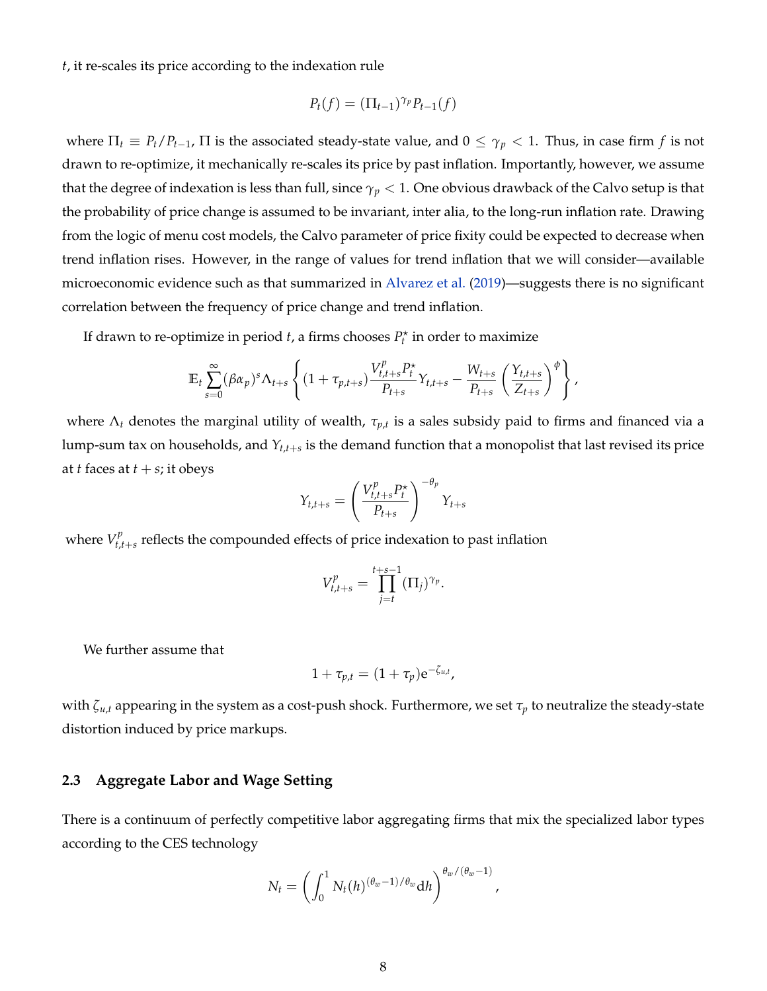*t*, it re-scales its price according to the indexation rule

$$
P_t(f) = (\Pi_{t-1})^{\gamma_p} P_{t-1}(f)
$$

where  $\Pi_t \equiv P_t/P_{t-1}$ ,  $\Pi$  is the associated steady-state value, and  $0 \leq \gamma_p < 1$ . Thus, in case firm *f* is not drawn to re-optimize, it mechanically re-scales its price by past inflation. Importantly, however, we assume that the degree of indexation is less than full, since *γ<sup>p</sup>* < 1. One obvious drawback of the Calvo setup is that the probability of price change is assumed to be invariant, inter alia, to the long-run inflation rate. Drawing from the logic of menu cost models, the Calvo parameter of price fixity could be expected to decrease when trend inflation rises. However, in the range of values for trend inflation that we will consider—available microeconomic evidence such as that summarized in [Alvarez et al.](#page-33-7) [\(2019\)](#page-33-7)—suggests there is no significant correlation between the frequency of price change and trend inflation.

If drawn to re-optimize in period  $t$ , a firms chooses  $P_t^{\star}$  in order to maximize

$$
\mathbb{E}_t \sum_{s=0}^{\infty} (\beta \alpha_p)^s \Lambda_{t+s} \left\{ (1+\tau_{p,t+s}) \frac{V_{t,t+s}^p P_t^{\star}}{P_{t+s}} Y_{t,t+s} - \frac{W_{t+s}}{P_{t+s}} \left( \frac{Y_{t,t+s}}{Z_{t+s}} \right)^{\phi} \right\},\,
$$

where Λ*<sup>t</sup>* denotes the marginal utility of wealth, *τp*,*<sup>t</sup>* is a sales subsidy paid to firms and financed via a lump-sum tax on households, and *Yt*,*t*+*<sup>s</sup>* is the demand function that a monopolist that last revised its price at *t* faces at  $t + s$ ; it obeys

$$
Y_{t,t+s} = \left(\frac{V_{t,t+s}^p P_t^{\star}}{P_{t+s}}\right)^{-\theta_p} Y_{t+s}
$$

where  $V_{t,i}^p$  $t_{t,t+s}$  reflects the compounded effects of price indexation to past inflation

$$
V_{t,t+s}^p = \prod_{j=t}^{t+s-1} (\Pi_j)^{\gamma_p}.
$$

We further assume that

$$
1+\tau_{p,t}=(1+\tau_p)\mathrm{e}^{-\zeta_{u,t}},
$$

with *ζu*,*<sup>t</sup>* appearing in the system as a cost-push shock. Furthermore, we set *τ<sup>p</sup>* to neutralize the steady-state distortion induced by price markups.

### **2.3 Aggregate Labor and Wage Setting**

There is a continuum of perfectly competitive labor aggregating firms that mix the specialized labor types according to the CES technology

$$
N_t = \left(\int_0^1 N_t(h)^{(\theta_w - 1)/\theta_w} dh\right)^{\theta_w/(\theta_w - 1)}
$$

,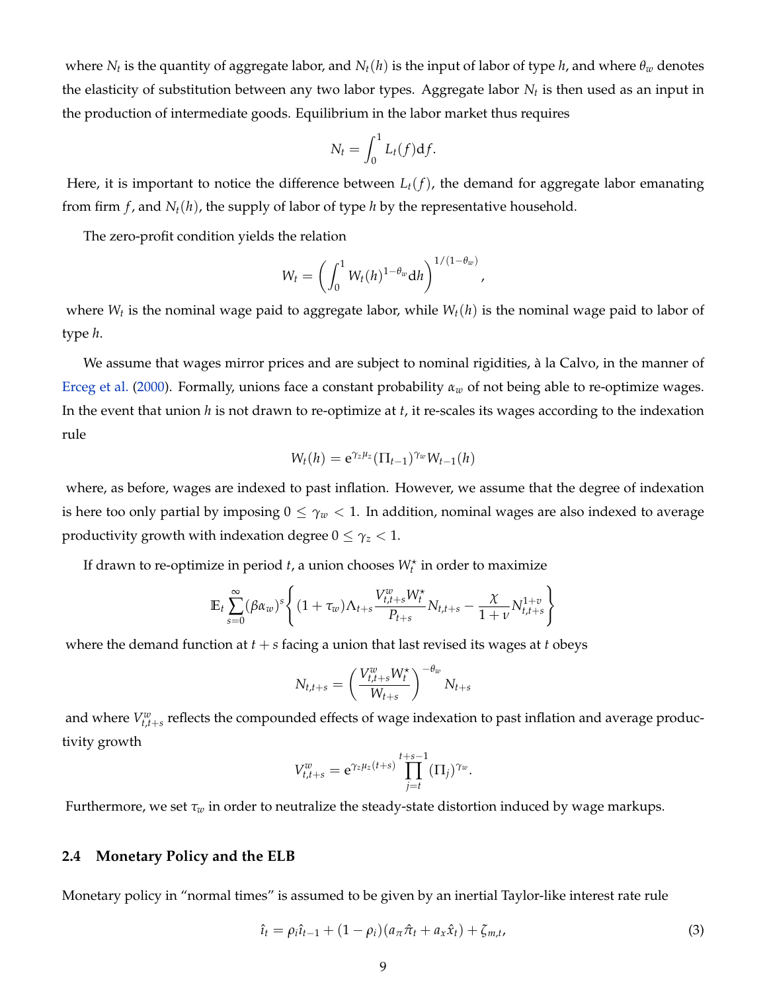where  $N_t$  is the quantity of aggregate labor, and  $N_t(h)$  is the input of labor of type  $h$ , and where  $\theta_w$  denotes the elasticity of substitution between any two labor types. Aggregate labor *N<sup>t</sup>* is then used as an input in the production of intermediate goods. Equilibrium in the labor market thus requires

$$
N_t = \int_0^1 L_t(f) \mathrm{d} f.
$$

Here, it is important to notice the difference between *Lt*(*f*), the demand for aggregate labor emanating from firm  $f$ , and  $N_t(h)$ , the supply of labor of type  $h$  by the representative household.

The zero-profit condition yields the relation

$$
W_t=\left(\int_0^1 W_t(h)^{1-\theta_w} \mathrm{d}h\right)^{1/(1-\theta_w)},
$$

where  $W_t$  is the nominal wage paid to aggregate labor, while  $W_t(h)$  is the nominal wage paid to labor of type *h*.

We assume that wages mirror prices and are subject to nominal rigidities, à la Calvo, in the manner of [Erceg et al.](#page-35-8) [\(2000\)](#page-35-8). Formally, unions face a constant probability *α<sup>w</sup>* of not being able to re-optimize wages. In the event that union *h* is not drawn to re-optimize at *t*, it re-scales its wages according to the indexation rule

$$
W_t(h) = e^{\gamma_z \mu_z} (\Pi_{t-1})^{\gamma_w} W_{t-1}(h)
$$

where, as before, wages are indexed to past inflation. However, we assume that the degree of indexation is here too only partial by imposing  $0 \leq \gamma_w < 1$ . In addition, nominal wages are also indexed to average productivity growth with indexation degree  $0 \leq \gamma_z < 1$ .

If drawn to re-optimize in period  $t$ , a union chooses  $W_t^{\star}$  in order to maximize

$$
\mathbb{E}_{t} \sum_{s=0}^{\infty} (\beta \alpha_{w})^{s} \left\{ (1 + \tau_{w}) \Lambda_{t+s} \frac{V_{t,t+s}^{w} W_{t}^{*}}{P_{t+s}} N_{t,t+s} - \frac{\chi}{1+v} N_{t,t+s}^{1+v} \right\}
$$

where the demand function at  $t + s$  facing a union that last revised its wages at  $t$  obeys

$$
N_{t,t+s} = \left(\frac{V_{t,t+s}^w W_t^{\star}}{W_{t+s}}\right)^{-\theta_w} N_{t+s}
$$

and where  $V_{t,t+s}^w$  reflects the compounded effects of wage indexation to past inflation and average productivity growth

$$
V_{t,t+s}^w = e^{\gamma_z \mu_z(t+s)} \prod_{j=t}^{t+s-1} (\Pi_j)^{\gamma_w}
$$

Furthermore, we set *τ<sup>w</sup>* in order to neutralize the steady-state distortion induced by wage markups.

#### **2.4 Monetary Policy and the ELB**

Monetary policy in "normal times" is assumed to be given by an inertial Taylor-like interest rate rule

$$
\hat{\iota}_t = \rho_i \hat{\iota}_{t-1} + (1 - \rho_i)(a_{\pi} \hat{\pi}_t + a_x \hat{x}_t) + \zeta_{m,t},
$$
\n(3)

.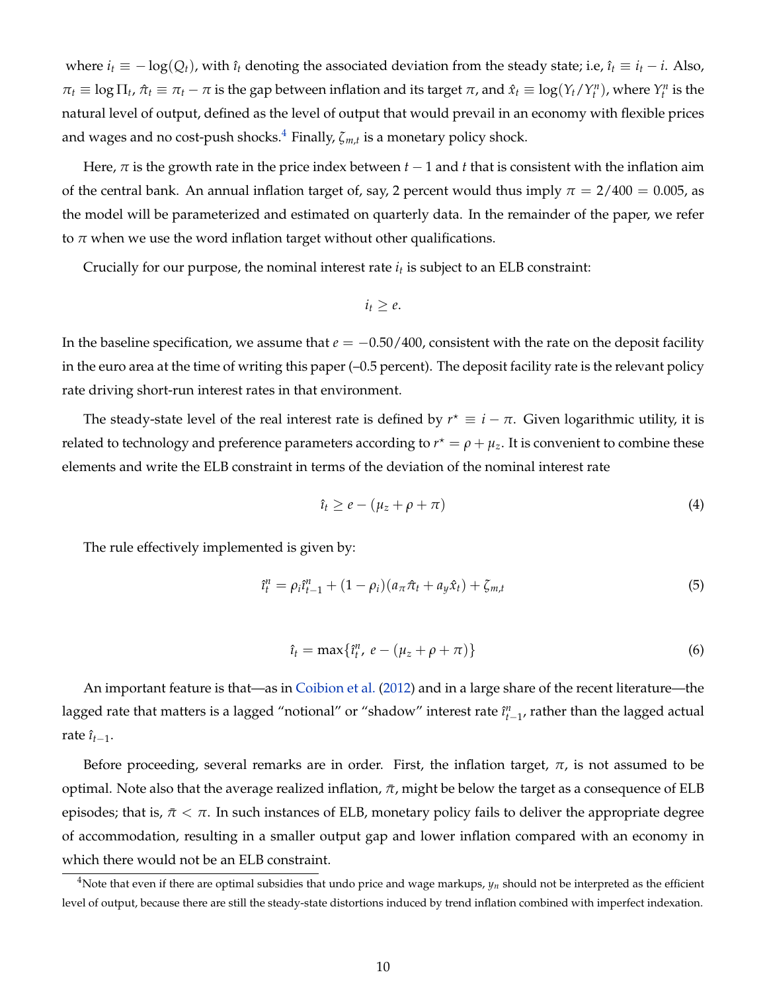where  $i_t \equiv -\log(Q_t)$ , with  $\hat{i}_t$  denoting the associated deviation from the steady state; i.e,  $\hat{i}_t \equiv i_t - i$ . Also,  $\pi_t \equiv \log \Pi_t$ ,  $\hat{\pi}_t \equiv \pi_t - \pi$  is the gap between inflation and its target  $\pi$ , and  $\hat{x}_t \equiv \log(Y_t/Y_t^n)$ , where  $Y_t^n$  is the natural level of output, defined as the level of output that would prevail in an economy with flexible prices and wages and no cost-push shocks.[4](#page-9-0) Finally, *ζm*,*<sup>t</sup>* is a monetary policy shock.

Here,  $\pi$  is the growth rate in the price index between  $t - 1$  and  $t$  that is consistent with the inflation aim of the central bank. An annual inflation target of, say, 2 percent would thus imply  $\pi = 2/400 = 0.005$ , as the model will be parameterized and estimated on quarterly data. In the remainder of the paper, we refer to  $\pi$  when we use the word inflation target without other qualifications.

Crucially for our purpose, the nominal interest rate *i<sup>t</sup>* is subject to an ELB constraint:

$$
i_t\geq e.
$$

In the baseline specification, we assume that  $e = -0.50/400$ , consistent with the rate on the deposit facility in the euro area at the time of writing this paper (–0.5 percent). The deposit facility rate is the relevant policy rate driving short-run interest rates in that environment.

The steady-state level of the real interest rate is defined by  $r^* \equiv i - \pi$ . Given logarithmic utility, it is related to technology and preference parameters according to  $r^* = \rho + \mu_z$ . It is convenient to combine these elements and write the ELB constraint in terms of the deviation of the nominal interest rate

<span id="page-9-1"></span>
$$
\hat{\iota}_t \geq e - (\mu_z + \rho + \pi) \tag{4}
$$

The rule effectively implemented is given by:

<span id="page-9-2"></span>
$$
\hat{i}_t^n = \rho_i \hat{i}_{t-1}^n + (1 - \rho_i)(a_\pi \hat{\pi}_t + a_y \hat{x}_t) + \zeta_{m,t}
$$
\n(5)

<span id="page-9-3"></span>
$$
\hat{\iota}_t = \max\{\hat{\iota}_t^n, e - (\mu_z + \rho + \pi)\}\tag{6}
$$

An important feature is that—as in [Coibion et al.](#page-35-4) [\(2012\)](#page-35-4) and in a large share of the recent literature—the lagged rate that matters is a lagged "notional" or "shadow" interest rate  $\hat{i}^n_{t-1}$ , rather than the lagged actual rate  $\hat{\imath}_{t-1}$ .

Before proceeding, several remarks are in order. First, the inflation target,  $\pi$ , is not assumed to be optimal. Note also that the average realized inflation,  $\pi$ , might be below the target as a consequence of ELB episodes; that is,  $\pi < \pi$ . In such instances of ELB, monetary policy fails to deliver the appropriate degree of accommodation, resulting in a smaller output gap and lower inflation compared with an economy in which there would not be an ELB constraint.

<span id="page-9-0"></span><sup>&</sup>lt;sup>4</sup>Note that even if there are optimal subsidies that undo price and wage markups,  $y_n$  should not be interpreted as the efficient level of output, because there are still the steady-state distortions induced by trend inflation combined with imperfect indexation.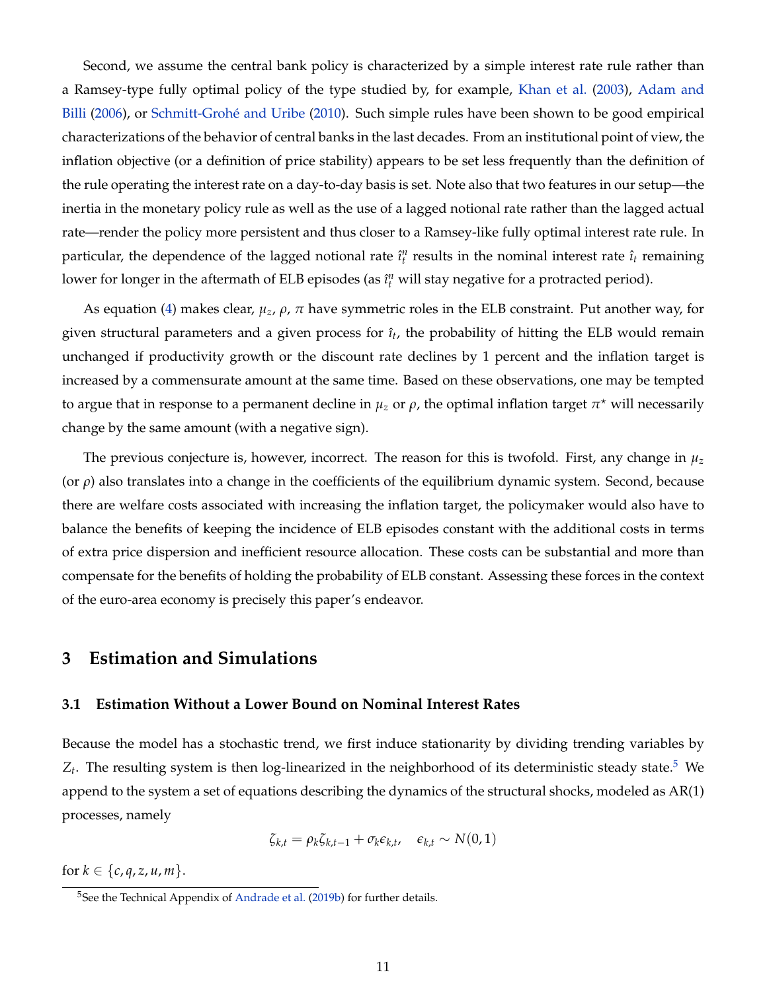Second, we assume the central bank policy is characterized by a simple interest rate rule rather than a Ramsey-type fully optimal policy of the type studied by, for example, [Khan et al.](#page-36-10) [\(2003\)](#page-36-10), [Adam and](#page-33-2) [Billi](#page-33-2) [\(2006\)](#page-33-2), or [Schmitt-Grohé and Uribe](#page-36-3) [\(2010\)](#page-36-3). Such simple rules have been shown to be good empirical characterizations of the behavior of central banks in the last decades. From an institutional point of view, the inflation objective (or a definition of price stability) appears to be set less frequently than the definition of the rule operating the interest rate on a day-to-day basis is set. Note also that two features in our setup—the inertia in the monetary policy rule as well as the use of a lagged notional rate rather than the lagged actual rate—render the policy more persistent and thus closer to a Ramsey-like fully optimal interest rate rule. In particular, the dependence of the lagged notional rate  $\hat{i}_t^n$  results in the nominal interest rate  $\hat{i}_t$  remaining lower for longer in the aftermath of ELB episodes (as  $\hat{\imath}^n_t$  will stay negative for a protracted period).

As equation [\(4\)](#page-9-1) makes clear,  $\mu_z$ ,  $\rho$ ,  $\pi$  have symmetric roles in the ELB constraint. Put another way, for given structural parameters and a given process for  $\hat{\imath}_t$ , the probability of hitting the ELB would remain unchanged if productivity growth or the discount rate declines by 1 percent and the inflation target is increased by a commensurate amount at the same time. Based on these observations, one may be tempted to argue that in response to a permanent decline in  $\mu_z$  or  $\rho$ , the optimal inflation target  $\pi^\star$  will necessarily change by the same amount (with a negative sign).

The previous conjecture is, however, incorrect. The reason for this is twofold. First, any change in *µ<sup>z</sup>* (or *ρ*) also translates into a change in the coefficients of the equilibrium dynamic system. Second, because there are welfare costs associated with increasing the inflation target, the policymaker would also have to balance the benefits of keeping the incidence of ELB episodes constant with the additional costs in terms of extra price dispersion and inefficient resource allocation. These costs can be substantial and more than compensate for the benefits of holding the probability of ELB constant. Assessing these forces in the context of the euro-area economy is precisely this paper's endeavor.

### **3 Estimation and Simulations**

### **3.1 Estimation Without a Lower Bound on Nominal Interest Rates**

Because the model has a stochastic trend, we first induce stationarity by dividing trending variables by  $Z_t$ . The resulting system is then log-linearized in the neighborhood of its deterministic steady state.<sup>[5](#page-10-0)</sup> We append to the system a set of equations describing the dynamics of the structural shocks, modeled as AR(1) processes, namely

$$
\zeta_{k,t} = \rho_k \zeta_{k,t-1} + \sigma_k \epsilon_{k,t}, \quad \epsilon_{k,t} \sim N(0,1)
$$

for  $k \in \{c, q, z, u, m\}.$ 

<span id="page-10-0"></span><sup>&</sup>lt;sup>5</sup>See the Technical Appendix of [Andrade et al.](#page-33-1) [\(2019b\)](#page-33-1) for further details.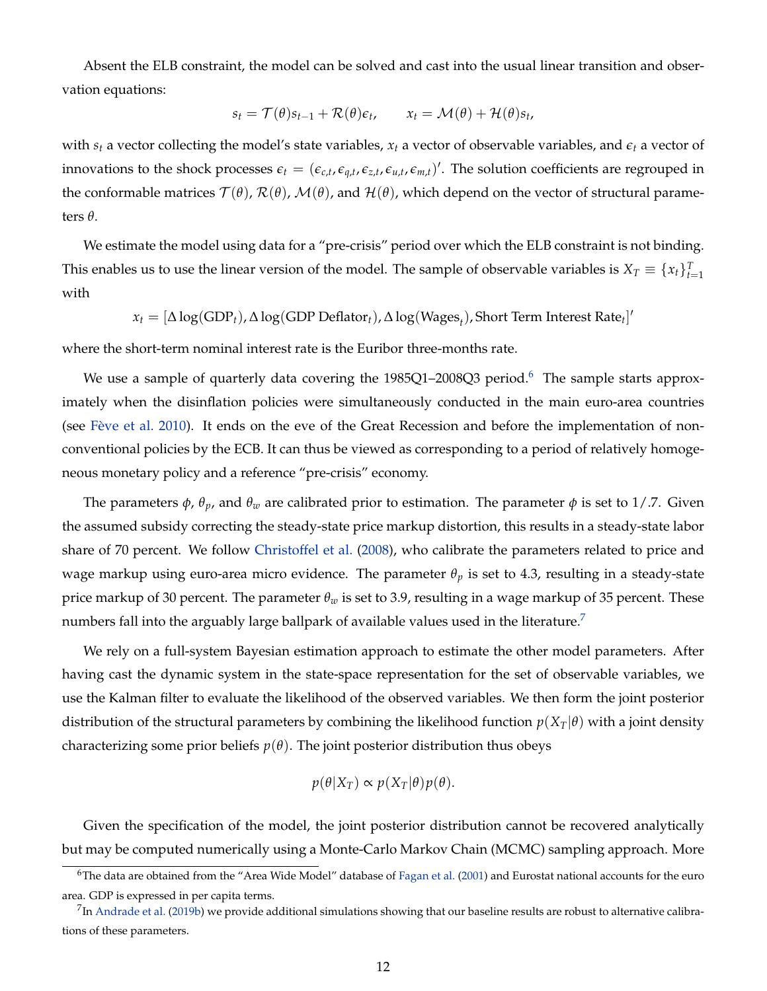Absent the ELB constraint, the model can be solved and cast into the usual linear transition and observation equations:

$$
s_t = \mathcal{T}(\theta)s_{t-1} + \mathcal{R}(\theta)\epsilon_t, \qquad x_t = \mathcal{M}(\theta) + \mathcal{H}(\theta)s_t,
$$

with  $s_t$  a vector collecting the model's state variables,  $x_t$  a vector of observable variables, and  $\epsilon_t$  a vector of innovations to the shock processes  $\epsilon_t = (\epsilon_{c,t}, \epsilon_{q,t}, \epsilon_{z,t}, \epsilon_{u,t}, \epsilon_{m,t})'$ . The solution coefficients are regrouped in the conformable matrices  $\mathcal{T}(\theta)$ ,  $\mathcal{R}(\theta)$ ,  $\mathcal{M}(\theta)$ , and  $\mathcal{H}(\theta)$ , which depend on the vector of structural parameters *θ*.

We estimate the model using data for a "pre-crisis" period over which the ELB constraint is not binding. This enables us to use the linear version of the model. The sample of observable variables is  $X_T \equiv \{x_t\}_{t=1}^T$ with

$$
x_t = [\Delta \log(\text{GDP}_t), \Delta \log(\text{GDP Deflator}_t), \Delta \log(\text{Wages}_t), \text{Short Term Interest Rate}_t]'
$$

where the short-term nominal interest rate is the Euribor three-months rate.

We use a sample of quarterly data covering the 1985Q1-2008Q3 period.<sup>[6](#page-11-0)</sup> The sample starts approximately when the disinflation policies were simultaneously conducted in the main euro-area countries (see [Fève et al.](#page-35-9) [2010\)](#page-35-9). It ends on the eve of the Great Recession and before the implementation of nonconventional policies by the ECB. It can thus be viewed as corresponding to a period of relatively homogeneous monetary policy and a reference "pre-crisis" economy.

The parameters  $\phi$ ,  $\theta_p$ , and  $\theta_w$  are calibrated prior to estimation. The parameter  $\phi$  is set to 1/.7. Given the assumed subsidy correcting the steady-state price markup distortion, this results in a steady-state labor share of 70 percent. We follow [Christoffel et al.](#page-34-11) [\(2008\)](#page-34-11), who calibrate the parameters related to price and wage markup using euro-area micro evidence. The parameter  $\theta_p$  is set to 4.3, resulting in a steady-state price markup of 30 percent. The parameter *θ<sup>w</sup>* is set to 3.9, resulting in a wage markup of 35 percent. These numbers fall into the arguably large ballpark of available values used in the literature.<sup>[7](#page-11-1)</sup>

We rely on a full-system Bayesian estimation approach to estimate the other model parameters. After having cast the dynamic system in the state-space representation for the set of observable variables, we use the Kalman filter to evaluate the likelihood of the observed variables. We then form the joint posterior distribution of the structural parameters by combining the likelihood function  $p(X_T|\theta)$  with a joint density characterizing some prior beliefs  $p(\theta)$ . The joint posterior distribution thus obeys

$$
p(\theta|X_T) \propto p(X_T|\theta)p(\theta).
$$

Given the specification of the model, the joint posterior distribution cannot be recovered analytically but may be computed numerically using a Monte-Carlo Markov Chain (MCMC) sampling approach. More

<span id="page-11-0"></span><sup>6</sup>The data are obtained from the "Area Wide Model" database of [Fagan et al.](#page-35-10) [\(2001\)](#page-35-10) and Eurostat national accounts for the euro area. GDP is expressed in per capita terms.

<span id="page-11-1"></span> $^{7}$ In [Andrade et al.](#page-33-1) [\(2019b\)](#page-33-1) we provide additional simulations showing that our baseline results are robust to alternative calibrations of these parameters.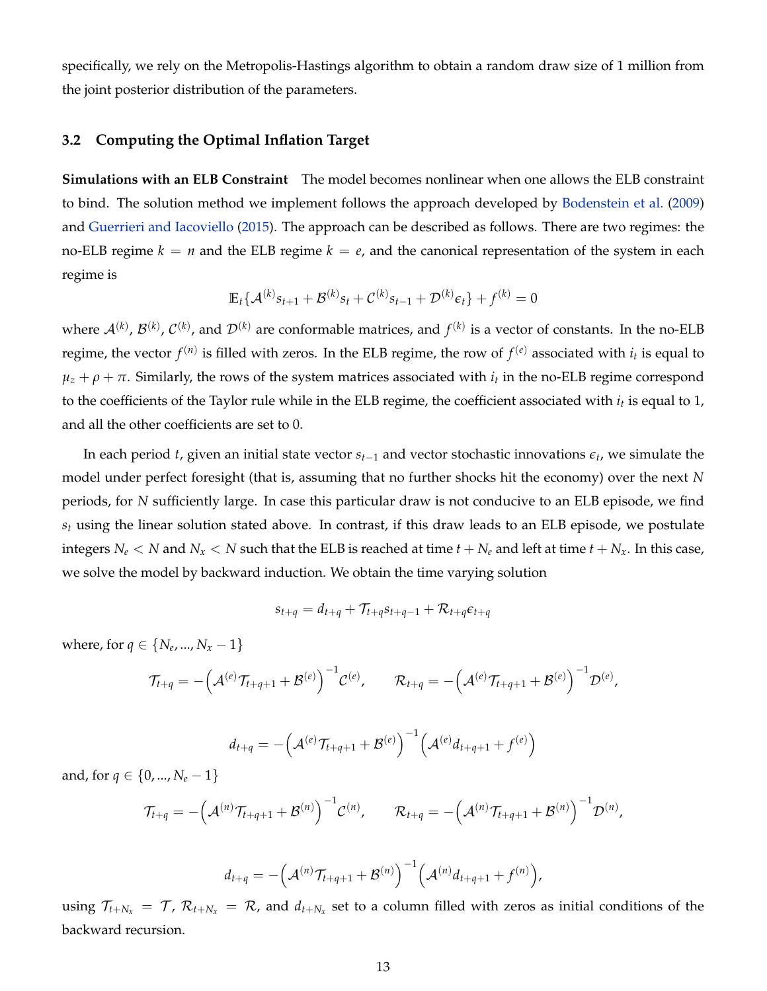specifically, we rely on the Metropolis-Hastings algorithm to obtain a random draw size of 1 million from the joint posterior distribution of the parameters.

### <span id="page-12-0"></span>**3.2 Computing the Optimal Inflation Target**

**Simulations with an ELB Constraint** The model becomes nonlinear when one allows the ELB constraint to bind. The solution method we implement follows the approach developed by [Bodenstein et al.](#page-34-12) [\(2009\)](#page-34-12) and [Guerrieri and Iacoviello](#page-35-11) [\(2015\)](#page-35-11). The approach can be described as follows. There are two regimes: the no-ELB regime  $k = n$  and the ELB regime  $k = e$ , and the canonical representation of the system in each regime is

$$
\mathbb{E}_{t} \{ \mathcal{A}^{(k)} s_{t+1} + \mathcal{B}^{(k)} s_{t} + \mathcal{C}^{(k)} s_{t-1} + \mathcal{D}^{(k)} \epsilon_{t} \} + f^{(k)} = 0
$$

where  $\mathcal{A}^{(k)}$ ,  $\mathcal{B}^{(k)}$ ,  $\mathcal{C}^{(k)}$ , and  $\mathcal{D}^{(k)}$  are conformable matrices, and  $f^{(k)}$  is a vector of constants. In the no-ELB regime, the vector  $f^{(n)}$  is filled with zeros. In the ELB regime, the row of  $f^{(e)}$  associated with  $i_t$  is equal to  $\mu_z + \rho + \pi$ . Similarly, the rows of the system matrices associated with  $i_t$  in the no-ELB regime correspond to the coefficients of the Taylor rule while in the ELB regime, the coefficient associated with *i<sup>t</sup>* is equal to 1, and all the other coefficients are set to 0.

In each period *t*, given an initial state vector *st*−<sup>1</sup> and vector stochastic innovations *e<sup>t</sup>* , we simulate the model under perfect foresight (that is, assuming that no further shocks hit the economy) over the next *N* periods, for *N* sufficiently large. In case this particular draw is not conducive to an ELB episode, we find *s<sup>t</sup>* using the linear solution stated above. In contrast, if this draw leads to an ELB episode, we postulate integers  $N_e < N$  and  $N_x < N$  such that the ELB is reached at time  $t + N_e$  and left at time  $t + N_x$ . In this case, we solve the model by backward induction. We obtain the time varying solution

$$
s_{t+q} = d_{t+q} + \mathcal{T}_{t+q} s_{t+q-1} + \mathcal{R}_{t+q} \epsilon_{t+q}
$$

where, for  $q \in \{N_e, ..., N_x - 1\}$ 

$$
\mathcal{T}_{t+q} = -\Big(\mathcal{A}^{(e)}\mathcal{T}_{t+q+1} + \mathcal{B}^{(e)}\Big)^{-1}\mathcal{C}^{(e)}, \qquad \mathcal{R}_{t+q} = -\Big(\mathcal{A}^{(e)}\mathcal{T}_{t+q+1} + \mathcal{B}^{(e)}\Big)^{-1}\mathcal{D}^{(e)},
$$

$$
d_{t+q} = -(\mathcal{A}^{(e)}\mathcal{T}_{t+q+1} + \mathcal{B}^{(e)})^{-1}(\mathcal{A}^{(e)}d_{t+q+1} + f^{(e)})
$$

and, for  $q \in \{0, ..., N_e - 1\}$ 

$$
\mathcal{T}_{t+q} = -(\mathcal{A}^{(n)}\mathcal{T}_{t+q+1} + \mathcal{B}^{(n)})^{-1}\mathcal{C}^{(n)}, \qquad \mathcal{R}_{t+q} = -(\mathcal{A}^{(n)}\mathcal{T}_{t+q+1} + \mathcal{B}^{(n)})^{-1}\mathcal{D}^{(n)},
$$

$$
d_{t+q} = -(\mathcal{A}^{(n)}\mathcal{T}_{t+q+1} + \mathcal{B}^{(n)})^{-1}(\mathcal{A}^{(n)}d_{t+q+1} + f^{(n)})
$$

,

using  $\mathcal{T}_{t+N_x} = \mathcal{T}$ ,  $\mathcal{R}_{t+N_x} = \mathcal{R}$ , and  $d_{t+N_x}$  set to a column filled with zeros as initial conditions of the backward recursion.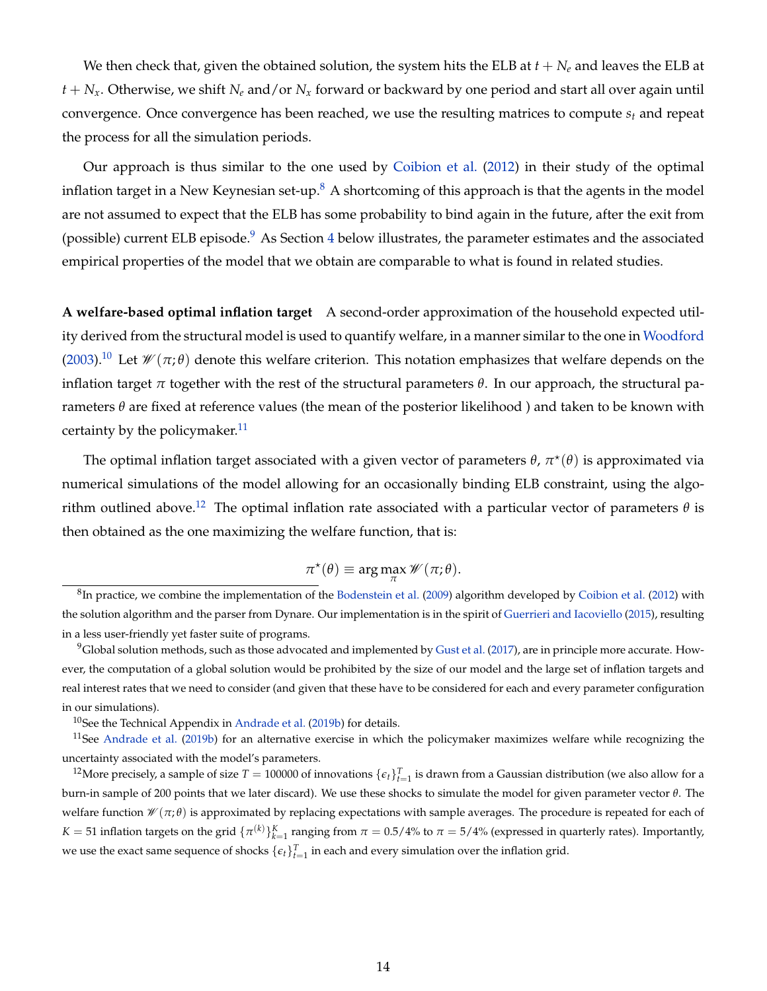We then check that, given the obtained solution, the system hits the ELB at *t* + *N<sup>e</sup>* and leaves the ELB at  $t + N_x$ . Otherwise, we shift  $N_e$  and/or  $N_x$  forward or backward by one period and start all over again until convergence. Once convergence has been reached, we use the resulting matrices to compute *s<sup>t</sup>* and repeat the process for all the simulation periods.

Our approach is thus similar to the one used by [Coibion et al.](#page-35-4) [\(2012\)](#page-35-4) in their study of the optimal inflation target in a New Keynesian set-up.<sup>[8](#page-13-0)</sup> A shortcoming of this approach is that the agents in the model are not assumed to expect that the ELB has some probability to bind again in the future, after the exit from (possible) current ELB episode. $9$  As Section [4](#page-14-0) below illustrates, the parameter estimates and the associated empirical properties of the model that we obtain are comparable to what is found in related studies.

**A welfare-based optimal inflation target** A second-order approximation of the household expected utility derived from the structural model is used to quantify welfare, in a manner similar to the one in [Woodford](#page-37-0) [\(2003\)](#page-37-0).<sup>[10](#page-13-2)</sup> Let  $\mathcal{W}(\pi;\theta)$  denote this welfare criterion. This notation emphasizes that welfare depends on the inflation target *π* together with the rest of the structural parameters  $θ$ . In our approach, the structural parameters *θ* are fixed at reference values (the mean of the posterior likelihood ) and taken to be known with certainty by the policymaker. $11$ 

The optimal inflation target associated with a given vector of parameters  $\theta$ ,  $\pi^{\star}(\theta)$  is approximated via numerical simulations of the model allowing for an occasionally binding ELB constraint, using the algo-rithm outlined above.<sup>[12](#page-13-4)</sup> The optimal inflation rate associated with a particular vector of parameters  $\theta$  is then obtained as the one maximizing the welfare function, that is:

$$
\pi^*(\theta) \equiv \arg\max_{\pi} \mathscr{W}(\pi;\theta).
$$

<span id="page-13-0"></span> ${}^{8}$ In practice, we combine the implementation of the [Bodenstein et al.](#page-34-12) [\(2009\)](#page-34-12) algorithm developed by [Coibion et al.](#page-35-4) [\(2012\)](#page-35-4) with the solution algorithm and the parser from Dynare. Our implementation is in the spirit of [Guerrieri and Iacoviello](#page-35-11) [\(2015\)](#page-35-11), resulting in a less user-friendly yet faster suite of programs.

<span id="page-13-1"></span> $9$ Global solution methods, such as those advocated and implemented by [Gust et al.](#page-35-12) [\(2017\)](#page-35-12), are in principle more accurate. However, the computation of a global solution would be prohibited by the size of our model and the large set of inflation targets and real interest rates that we need to consider (and given that these have to be considered for each and every parameter configuration in our simulations).

<span id="page-13-3"></span><span id="page-13-2"></span> $10$ See the Technical Appendix in [Andrade et al.](#page-33-1) [\(2019b\)](#page-33-1) for details.

<sup>&</sup>lt;sup>11</sup>See [Andrade et al.](#page-33-1) [\(2019b\)](#page-33-1) for an alternative exercise in which the policymaker maximizes welfare while recognizing the uncertainty associated with the model's parameters.

<span id="page-13-4"></span><sup>&</sup>lt;sup>12</sup>More precisely, a sample of size  $T = 100000$  of innovations  $\{\epsilon_t\}_{t=1}^T$  is drawn from a Gaussian distribution (we also allow for a burn-in sample of 200 points that we later discard). We use these shocks to simulate the model for given parameter vector *θ*. The welfare function W (*π*; *θ*) is approximated by replacing expectations with sample averages. The procedure is repeated for each of *K* = 51 inflation targets on the grid  $\{\pi^{(k)}\}_{k=1}^K$  ranging from  $\pi = 0.5/4\%$  to  $\pi = 5/4\%$  (expressed in quarterly rates). Importantly, we use the exact same sequence of shocks  $\{\epsilon_t\}_{t=1}^T$  in each and every simulation over the inflation grid.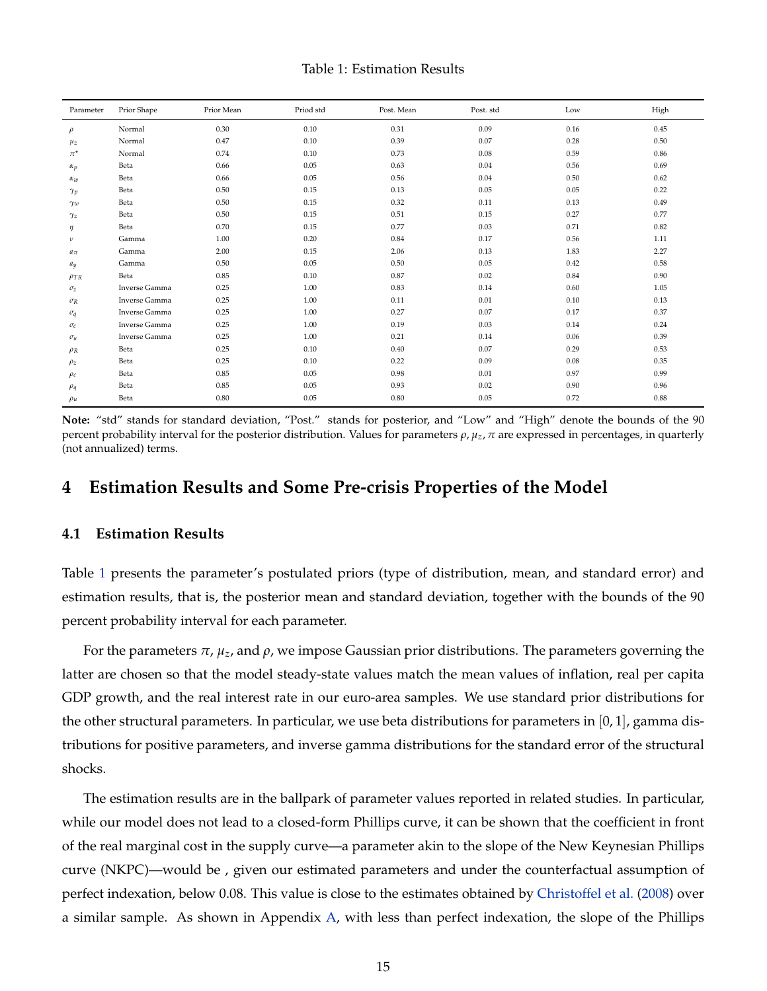<span id="page-14-1"></span>

| Parameter     | Prior Shape   | Prior Mean | Priod std | Post. Mean | Post. std | Low  | High |
|---------------|---------------|------------|-----------|------------|-----------|------|------|
| $\rho$        | Normal        | 0.30       | 0.10      | 0.31       | 0.09      | 0.16 | 0.45 |
| $\mu_z$       | Normal        | 0.47       | 0.10      | 0.39       | 0.07      | 0.28 | 0.50 |
| $\pi^{\star}$ | Normal        | 0.74       | 0.10      | 0.73       | 0.08      | 0.59 | 0.86 |
| $\alpha_p$    | Beta          | 0.66       | 0.05      | 0.63       | 0.04      | 0.56 | 0.69 |
| $\alpha_w$    | Beta          | 0.66       | 0.05      | 0.56       | 0.04      | 0.50 | 0.62 |
| $\gamma_p$    | Beta          | 0.50       | 0.15      | 0.13       | 0.05      | 0.05 | 0.22 |
| $\gamma_w$    | Beta          | 0.50       | 0.15      | 0.32       | 0.11      | 0.13 | 0.49 |
| $\gamma$ z    | Beta          | 0.50       | 0.15      | 0.51       | 0.15      | 0.27 | 0.77 |
| η             | Beta          | 0.70       | 0.15      | 0.77       | 0.03      | 0.71 | 0.82 |
| $\mathcal V$  | Gamma         | 1.00       | 0.20      | 0.84       | 0.17      | 0.56 | 1.11 |
| $a_{\pi}$     | Gamma         | 2.00       | 0.15      | 2.06       | 0.13      | 1.83 | 2.27 |
| $a_y$         | Gamma         | 0.50       | 0.05      | 0.50       | 0.05      | 0.42 | 0.58 |
| $\rho_{TR}$   | Beta          | 0.85       | 0.10      | 0.87       | 0.02      | 0.84 | 0.90 |
| $\sigma_z$    | Inverse Gamma | 0.25       | 1.00      | 0.83       | 0.14      | 0.60 | 1.05 |
| $\sigma_R$    | Inverse Gamma | 0.25       | 1.00      | 0.11       | 0.01      | 0.10 | 0.13 |
| $\sigma_q$    | Inverse Gamma | 0.25       | 1.00      | 0.27       | 0.07      | 0.17 | 0.37 |
| $\sigma_c$    | Inverse Gamma | 0.25       | 1.00      | 0.19       | 0.03      | 0.14 | 0.24 |
| $\sigma_u$    | Inverse Gamma | 0.25       | 1.00      | 0.21       | 0.14      | 0.06 | 0.39 |
| $\rho_R$      | Beta          | 0.25       | 0.10      | 0.40       | 0.07      | 0.29 | 0.53 |
| $\rho_z$      | Beta          | 0.25       | 0.10      | 0.22       | 0.09      | 0.08 | 0.35 |
| $\rho_c$      | Beta          | 0.85       | 0.05      | 0.98       | 0.01      | 0.97 | 0.99 |
| $\rho_q$      | Beta          | 0.85       | 0.05      | 0.93       | 0.02      | 0.90 | 0.96 |
| $\rho_u$      | Beta          | 0.80       | 0.05      | 0.80       | 0.05      | 0.72 | 0.88 |

**Note:** "std" stands for standard deviation, "Post." stands for posterior, and "Low" and "High" denote the bounds of the 90 percent probability interval for the posterior distribution. Values for parameters  $\rho$ ,  $\mu_z$ ,  $\pi$  are expressed in percentages, in quarterly (not annualized) terms.

### <span id="page-14-0"></span>**4 Estimation Results and Some Pre-crisis Properties of the Model**

### **4.1 Estimation Results**

Table [1](#page-14-1) presents the parameter's postulated priors (type of distribution, mean, and standard error) and estimation results, that is, the posterior mean and standard deviation, together with the bounds of the 90 percent probability interval for each parameter.

For the parameters *π*, *µz*, and *ρ*, we impose Gaussian prior distributions. The parameters governing the latter are chosen so that the model steady-state values match the mean values of inflation, real per capita GDP growth, and the real interest rate in our euro-area samples. We use standard prior distributions for the other structural parameters. In particular, we use beta distributions for parameters in [0, 1], gamma distributions for positive parameters, and inverse gamma distributions for the standard error of the structural shocks.

The estimation results are in the ballpark of parameter values reported in related studies. In particular, while our model does not lead to a closed-form Phillips curve, it can be shown that the coefficient in front of the real marginal cost in the supply curve—a parameter akin to the slope of the New Keynesian Phillips curve (NKPC)—would be , given our estimated parameters and under the counterfactual assumption of perfect indexation, below 0.08. This value is close to the estimates obtained by [Christoffel et al.](#page-34-11) [\(2008\)](#page-34-11) over a similar sample. As shown in Appendix [A,](#page-31-0) with less than perfect indexation, the slope of the Phillips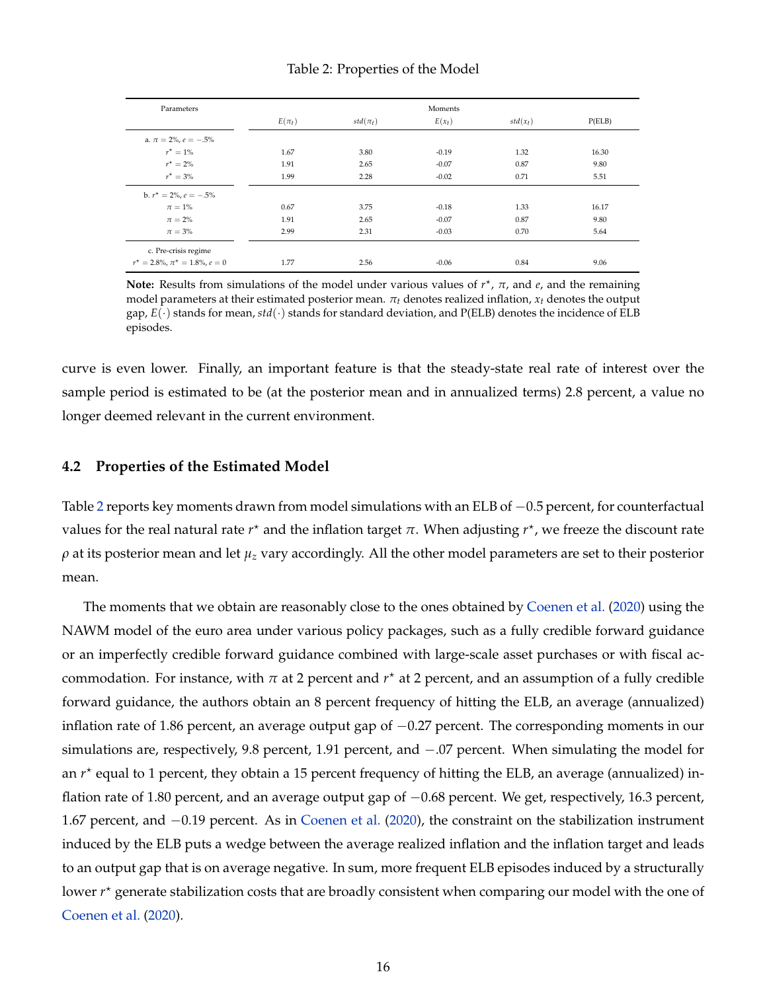#### Table 2: Properties of the Model

<span id="page-15-0"></span>

| Parameters                                |            |              | Moments  |            |        |
|-------------------------------------------|------------|--------------|----------|------------|--------|
|                                           | $E(\pi_t)$ | $std(\pi_t)$ | $E(x_t)$ | $std(x_t)$ | P(ELB) |
| a. $\pi = 2\%$ , $e = -.5\%$              |            |              |          |            |        |
| $r^* = 1\%$                               | 1.67       | 3.80         | $-0.19$  | 1.32       | 16.30  |
| $r^{\star} = 2\%$                         | 1.91       | 2.65         | $-0.07$  | 0.87       | 9.80   |
| $r^* = 3\%$                               | 1.99       | 2.28         | $-0.02$  | 0.71       | 5.51   |
| b. $r^* = 2\%$ , $e = -.5\%$              |            |              |          |            |        |
| $\pi=1\%$                                 | 0.67       | 3.75         | $-0.18$  | 1.33       | 16.17  |
| $\pi = 2\%$                               | 1.91       | 2.65         | $-0.07$  | 0.87       | 9.80   |
| $\pi = 3\%$                               | 2.99       | 2.31         | $-0.03$  | 0.70       | 5.64   |
| c. Pre-crisis regime                      |            |              |          |            |        |
| $r^* = 2.8\%$ , $\pi^* = 1.8\%$ , $e = 0$ | 1.77       | 2.56         | $-0.06$  | 0.84       | 9.06   |

**Note:** Results from simulations of the model under various values of  $r<sup>*</sup>$ , π, and *e*, and the remaining model parameters at their estimated posterior mean. *πt* denotes realized inflation, *xt* denotes the output gap,  $E(\cdot)$  stands for mean,  $std(\cdot)$  stands for standard deviation, and P(ELB) denotes the incidence of ELB episodes.

curve is even lower. Finally, an important feature is that the steady-state real rate of interest over the sample period is estimated to be (at the posterior mean and in annualized terms) 2.8 percent, a value no longer deemed relevant in the current environment.

#### **4.2 Properties of the Estimated Model**

Table [2](#page-15-0) reports key moments drawn from model simulations with an ELB of −0.5 percent, for counterfactual values for the real natural rate  $r^{\star}$  and the inflation target π. When adjusting  $r^{\star}$ , we freeze the discount rate *ρ* at its posterior mean and let *µ<sup>z</sup>* vary accordingly. All the other model parameters are set to their posterior mean.

The moments that we obtain are reasonably close to the ones obtained by [Coenen et al.](#page-34-2) [\(2020\)](#page-34-2) using the NAWM model of the euro area under various policy packages, such as a fully credible forward guidance or an imperfectly credible forward guidance combined with large-scale asset purchases or with fiscal accommodation. For instance, with *π* at 2 percent and *r* ? at 2 percent, and an assumption of a fully credible forward guidance, the authors obtain an 8 percent frequency of hitting the ELB, an average (annualized) inflation rate of 1.86 percent, an average output gap of  $-0.27$  percent. The corresponding moments in our simulations are, respectively, 9.8 percent, 1.91 percent, and −.07 percent. When simulating the model for an  $r^*$  equal to 1 percent, they obtain a 15 percent frequency of hitting the ELB, an average (annualized) inflation rate of 1.80 percent, and an average output gap of −0.68 percent. We get, respectively, 16.3 percent, 1.67 percent, and −0.19 percent. As in [Coenen et al.](#page-34-2) [\(2020\)](#page-34-2), the constraint on the stabilization instrument induced by the ELB puts a wedge between the average realized inflation and the inflation target and leads to an output gap that is on average negative. In sum, more frequent ELB episodes induced by a structurally lower *r*<sup>\*</sup> generate stabilization costs that are broadly consistent when comparing our model with the one of [Coenen et al.](#page-34-2) [\(2020\)](#page-34-2).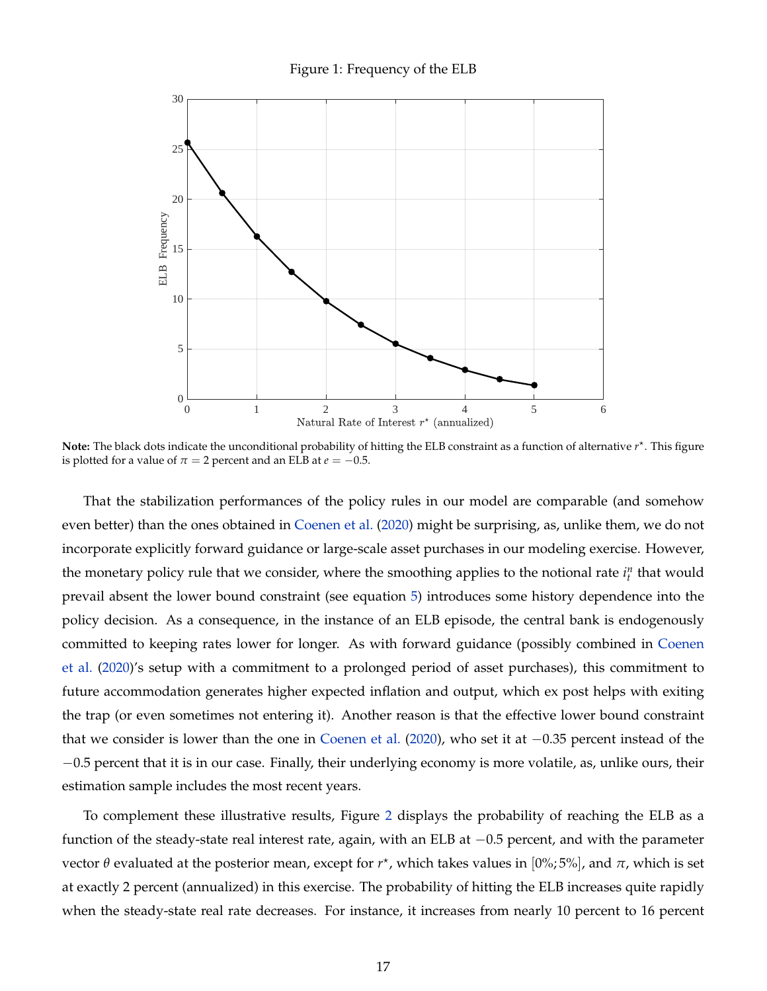Figure 1: Frequency of the ELB



Note: The black dots indicate the unconditional probability of hitting the ELB constraint as a function of alternative  $r^*$ . This figure is plotted for a value of  $\pi = 2$  percent and an ELB at  $e = -0.5$ .

That the stabilization performances of the policy rules in our model are comparable (and somehow even better) than the ones obtained in [Coenen et al.](#page-34-2) [\(2020\)](#page-34-2) might be surprising, as, unlike them, we do not incorporate explicitly forward guidance or large-scale asset purchases in our modeling exercise. However, the monetary policy rule that we consider, where the smoothing applies to the notional rate  $i<sup>n</sup><sub>t</sub>$  that would prevail absent the lower bound constraint (see equation [5\)](#page-9-2) introduces some history dependence into the policy decision. As a consequence, in the instance of an ELB episode, the central bank is endogenously committed to keeping rates lower for longer. As with forward guidance (possibly combined in [Coenen](#page-34-2) [et al.](#page-34-2) [\(2020\)](#page-34-2)'s setup with a commitment to a prolonged period of asset purchases), this commitment to future accommodation generates higher expected inflation and output, which ex post helps with exiting the trap (or even sometimes not entering it). Another reason is that the effective lower bound constraint that we consider is lower than the one in [Coenen et al.](#page-34-2) [\(2020\)](#page-34-2), who set it at −0.35 percent instead of the −0.5 percent that it is in our case. Finally, their underlying economy is more volatile, as, unlike ours, their estimation sample includes the most recent years.

To complement these illustrative results, Figure [2](#page-17-0) displays the probability of reaching the ELB as a function of the steady-state real interest rate, again, with an ELB at −0.5 percent, and with the parameter vector θ evaluated at the posterior mean, except for  $r^\star$ , which takes values in  $[0\%;5\%]$ , and  $\pi$ , which is set at exactly 2 percent (annualized) in this exercise. The probability of hitting the ELB increases quite rapidly when the steady-state real rate decreases. For instance, it increases from nearly 10 percent to 16 percent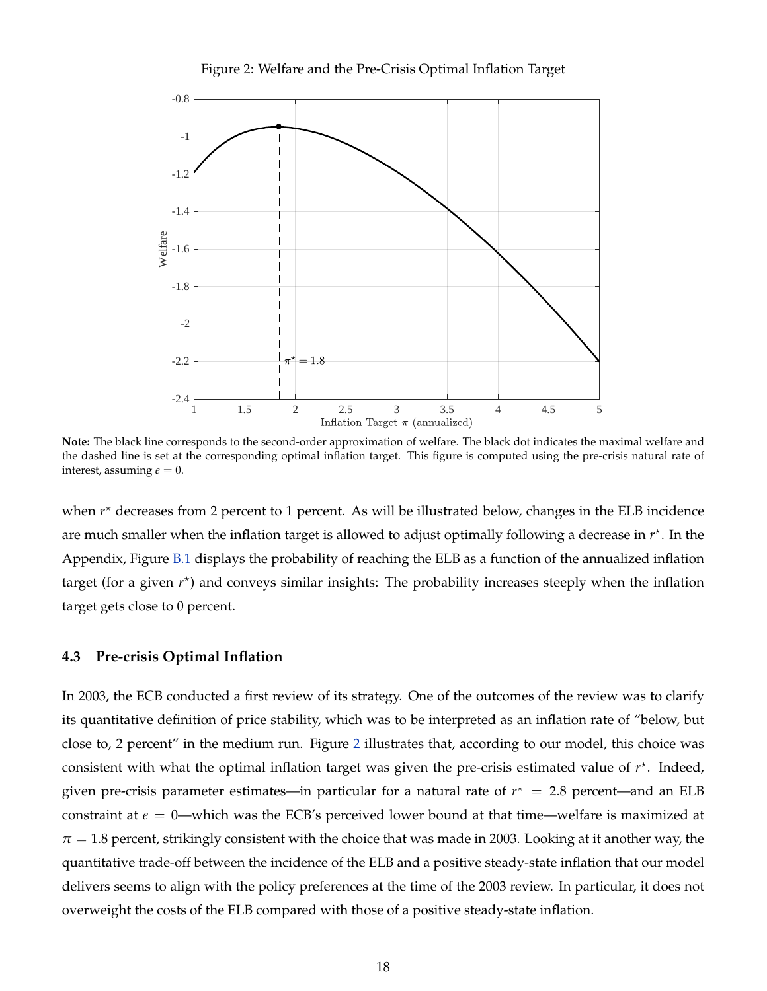

<span id="page-17-0"></span>

**Note:** The black line corresponds to the second-order approximation of welfare. The black dot indicates the maximal welfare and the dashed line is set at the corresponding optimal inflation target. This figure is computed using the pre-crisis natural rate of interest, assuming  $e = 0$ .

when  $r<sup>*</sup>$  decreases from 2 percent to 1 percent. As will be illustrated below, changes in the ELB incidence are much smaller when the inflation target is allowed to adjust optimally following a decrease in  $r^*$ . In the Appendix, Figure [B.1](#page-31-1) displays the probability of reaching the ELB as a function of the annualized inflation target (for a given  $r^*$ ) and conveys similar insights: The probability increases steeply when the inflation target gets close to 0 percent.

#### **4.3 Pre-crisis Optimal Inflation**

In 2003, the ECB conducted a first review of its strategy. One of the outcomes of the review was to clarify its quantitative definition of price stability, which was to be interpreted as an inflation rate of "below, but close to, 2 percent" in the medium run. Figure [2](#page-17-0) illustrates that, according to our model, this choice was consistent with what the optimal inflation target was given the pre-crisis estimated value of  $r^*$ . Indeed, given pre-crisis parameter estimates—in particular for a natural rate of  $r^* = 2.8$  percent—and an ELB constraint at *e* = 0—which was the ECB's perceived lower bound at that time—welfare is maximized at  $\pi$  = 1.8 percent, strikingly consistent with the choice that was made in 2003. Looking at it another way, the quantitative trade-off between the incidence of the ELB and a positive steady-state inflation that our model delivers seems to align with the policy preferences at the time of the 2003 review. In particular, it does not overweight the costs of the ELB compared with those of a positive steady-state inflation.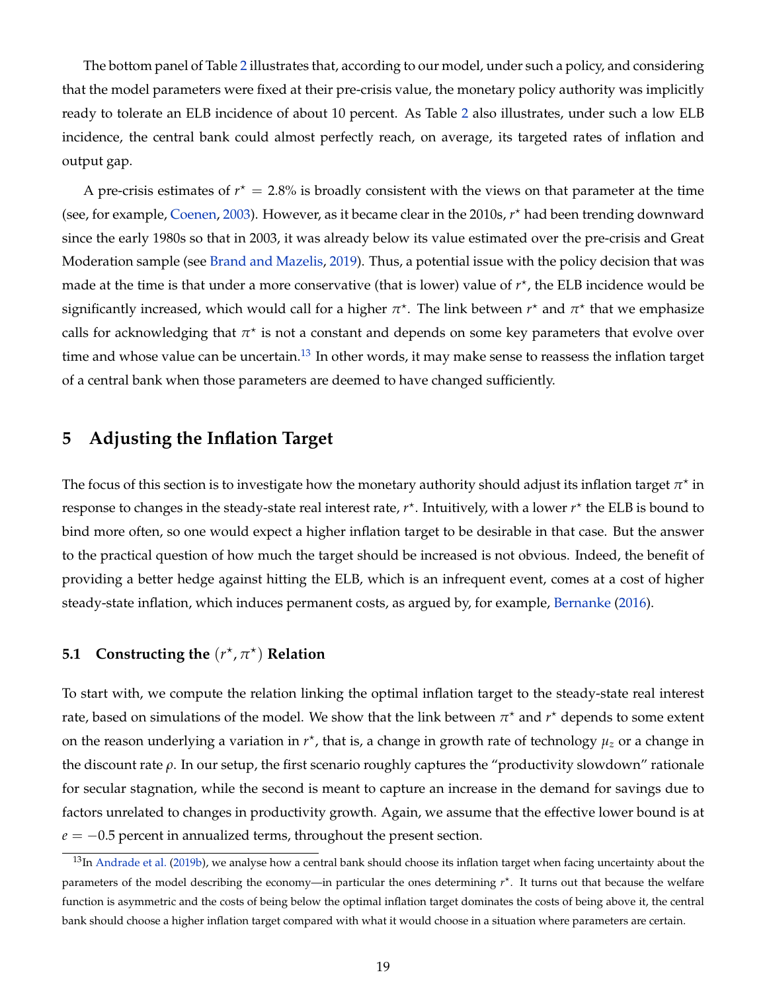The bottom panel of Table [2](#page-15-0) illustrates that, according to our model, under such a policy, and considering that the model parameters were fixed at their pre-crisis value, the monetary policy authority was implicitly ready to tolerate an ELB incidence of about 10 percent. As Table [2](#page-15-0) also illustrates, under such a low ELB incidence, the central bank could almost perfectly reach, on average, its targeted rates of inflation and output gap.

A pre-crisis estimates of  $r^* = 2.8\%$  is broadly consistent with the views on that parameter at the time (see, for example, [Coenen,](#page-34-13) [2003\)](#page-34-13). However, as it became clear in the 2010s,  $r^*$  had been trending downward since the early 1980s so that in 2003, it was already below its value estimated over the pre-crisis and Great Moderation sample (see [Brand and Mazelis,](#page-34-0) [2019\)](#page-34-0). Thus, a potential issue with the policy decision that was made at the time is that under a more conservative (that is lower) value of  $r^*$ , the ELB incidence would be significantly increased, which would call for a higher  $\pi^\star$ . The link between  $r^\star$  and  $\pi^\star$  that we emphasize calls for acknowledging that  $\pi^\star$  is not a constant and depends on some key parameters that evolve over time and whose value can be uncertain.<sup>[13](#page-18-0)</sup> In other words, it may make sense to reassess the inflation target of a central bank when those parameters are deemed to have changed sufficiently.

### **5 Adjusting the Inflation Target**

The focus of this section is to investigate how the monetary authority should adjust its inflation target  $\pi^\star$  in response to changes in the steady-state real interest rate,  $r^*$ . Intuitively, with a lower  $r^*$  the ELB is bound to bind more often, so one would expect a higher inflation target to be desirable in that case. But the answer to the practical question of how much the target should be increased is not obvious. Indeed, the benefit of providing a better hedge against hitting the ELB, which is an infrequent event, comes at a cost of higher steady-state inflation, which induces permanent costs, as argued by, for example, [Bernanke](#page-33-8) [\(2016\)](#page-33-8).

### **5.1** Constructing the  $(r^*, \pi^*)$  Relation

To start with, we compute the relation linking the optimal inflation target to the steady-state real interest rate, based on simulations of the model. We show that the link between  $\pi^\star$  and  $r^\star$  depends to some extent on the reason underlying a variation in  $r^*$ , that is, a change in growth rate of technology  $\mu_z$  or a change in the discount rate *ρ*. In our setup, the first scenario roughly captures the "productivity slowdown" rationale for secular stagnation, while the second is meant to capture an increase in the demand for savings due to factors unrelated to changes in productivity growth. Again, we assume that the effective lower bound is at  $e = -0.5$  percent in annualized terms, throughout the present section.

<span id="page-18-0"></span><sup>&</sup>lt;sup>13</sup>In [Andrade et al.](#page-33-1) [\(2019b\)](#page-33-1), we analyse how a central bank should choose its inflation target when facing uncertainty about the parameters of the model describing the economy—in particular the ones determining  $r^*$ . It turns out that because the welfare function is asymmetric and the costs of being below the optimal inflation target dominates the costs of being above it, the central bank should choose a higher inflation target compared with what it would choose in a situation where parameters are certain.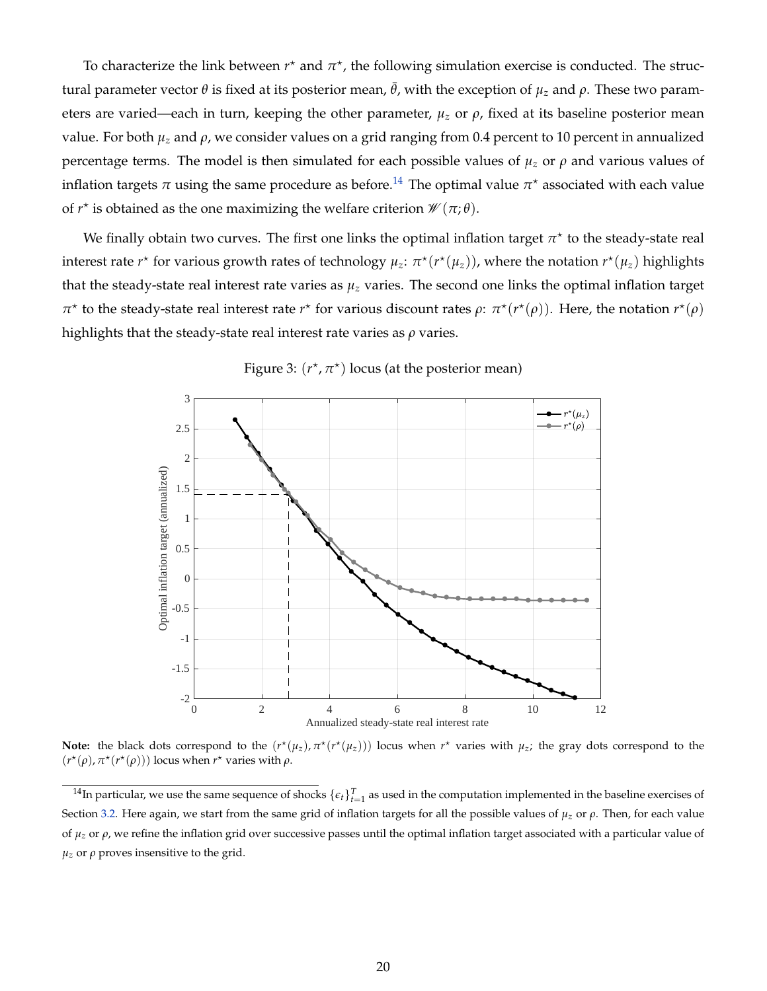To characterize the link between  $r^*$  and  $\pi^*$ , the following simulation exercise is conducted. The structural parameter vector *θ* is fixed at its posterior mean,  $\bar{\theta}$ , with the exception of  $\mu_z$  and  $\rho$ . These two parameters are varied—each in turn, keeping the other parameter,  $\mu_z$  or  $\rho$ , fixed at its baseline posterior mean value. For both *µ<sup>z</sup>* and *ρ*, we consider values on a grid ranging from 0.4 percent to 10 percent in annualized percentage terms. The model is then simulated for each possible values of  $\mu_z$  or  $\rho$  and various values of inflation targets  $\pi$  using the same procedure as before.<sup>[14](#page-19-0)</sup> The optimal value  $\pi^\star$  associated with each value of  $r^*$  is obtained as the one maximizing the welfare criterion  $\mathscr{W}(\pi;\theta)$ .

We finally obtain two curves. The first one links the optimal inflation target  $\pi^\star$  to the steady-state real interest rate  $r^*$  for various growth rates of technology  $\mu_z$ :  $\pi^*(r^*(\mu_z))$ , where the notation  $r^*(\mu_z)$  highlights that the steady-state real interest rate varies as  $\mu_z$  varies. The second one links the optimal inflation target *π*<sup> $\star$ </sup> to the steady-state real interest rate *r*<sup> $\star$ </sup> for various discount rates *ρ*: *π*<sup> $\star$ </sup>(*r*<sup> $\star$ </sup>(*ρ*)). Here, the notation *r*<sup> $\star$ </sup>(*ρ*) highlights that the steady-state real interest rate varies as *ρ* varies.

<span id="page-19-1"></span>

Figure 3:  $(r^*, \pi^*)$  locus (at the posterior mean)

**Note:** the black dots correspond to the  $(r^*(\mu_z), \pi^*(r^*(\mu_z)))$  locus when  $r^*$  varies with  $\mu_z$ ; the gray dots correspond to the  $(r^*(\rho), \pi^*(r^*(\rho)))$  locus when  $r^*$  varies with  $\rho$ .

<span id="page-19-0"></span><sup>&</sup>lt;sup>14</sup>In particular, we use the same sequence of shocks  $\{\epsilon_t\}_{t=1}^T$  as used in the computation implemented in the baseline exercises of Section [3.2.](#page-12-0) Here again, we start from the same grid of inflation targets for all the possible values of  $\mu_z$  or  $\rho$ . Then, for each value of  $\mu$ <sub>z</sub> or  $\rho$ , we refine the inflation grid over successive passes until the optimal inflation target associated with a particular value of  $\mu$ <sub>z</sub> or  $\rho$  proves insensitive to the grid.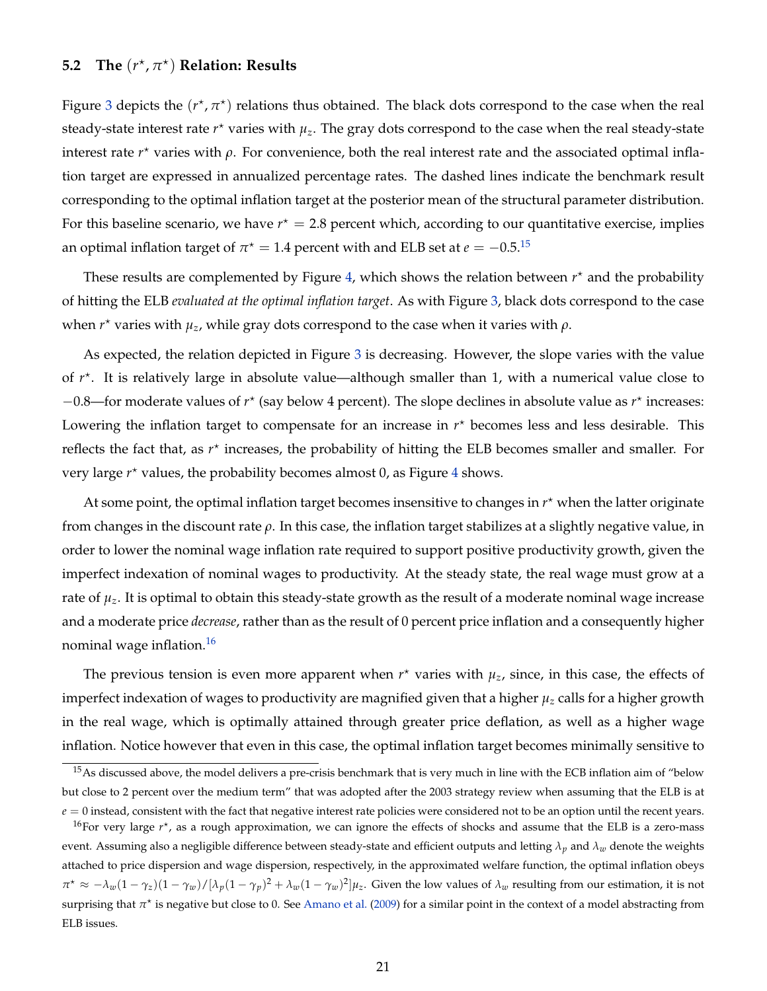### **5.2** The  $(r^{\star}, \pi^{\star})$  Relation: Results

Figure [3](#page-19-1) depicts the  $(r^{\star}, \pi^{\star})$  relations thus obtained. The black dots correspond to the case when the real steady-state interest rate  $r^{\star}$  varies with  $\mu_z$ . The gray dots correspond to the case when the real steady-state interest rate  $r^*$  varies with  $\rho$ . For convenience, both the real interest rate and the associated optimal inflation target are expressed in annualized percentage rates. The dashed lines indicate the benchmark result corresponding to the optimal inflation target at the posterior mean of the structural parameter distribution. For this baseline scenario, we have  $r^* = 2.8$  percent which, according to our quantitative exercise, implies an optimal inflation target of  $\pi^{\star} = 1.4$  percent with and ELB set at  $e = -0.5.^{15}$  $e = -0.5.^{15}$  $e = -0.5.^{15}$ 

These results are complemented by Figure [4,](#page-21-0) which shows the relation between  $r^*$  and the probability of hitting the ELB *evaluated at the optimal inflation target*. As with Figure [3,](#page-19-1) black dots correspond to the case when *r* ? varies with *µz*, while gray dots correspond to the case when it varies with *ρ*.

As expected, the relation depicted in Figure [3](#page-19-1) is decreasing. However, the slope varies with the value of  $r^*$ . It is relatively large in absolute value—although smaller than 1, with a numerical value close to −0.8—for moderate values of *r* ? (say below 4 percent). The slope declines in absolute value as *r* ? increases: Lowering the inflation target to compensate for an increase in  $r<sup>*</sup>$  becomes less and less desirable. This reflects the fact that, as  $r^*$  increases, the probability of hitting the ELB becomes smaller and smaller. For very large  $r^*$  values, the probability becomes almost 0, as Figure [4](#page-21-0) shows.

At some point, the optimal inflation target becomes insensitive to changes in  $r^*$  when the latter originate from changes in the discount rate *ρ*. In this case, the inflation target stabilizes at a slightly negative value, in order to lower the nominal wage inflation rate required to support positive productivity growth, given the imperfect indexation of nominal wages to productivity. At the steady state, the real wage must grow at a rate of *µz*. It is optimal to obtain this steady-state growth as the result of a moderate nominal wage increase and a moderate price *decrease*, rather than as the result of 0 percent price inflation and a consequently higher nominal wage inflation.<sup>[16](#page-20-1)</sup>

The previous tension is even more apparent when  $r^*$  varies with  $\mu_z$ , since, in this case, the effects of imperfect indexation of wages to productivity are magnified given that a higher *µ<sup>z</sup>* calls for a higher growth in the real wage, which is optimally attained through greater price deflation, as well as a higher wage inflation. Notice however that even in this case, the optimal inflation target becomes minimally sensitive to

<span id="page-20-0"></span> $15$ As discussed above, the model delivers a pre-crisis benchmark that is very much in line with the ECB inflation aim of "below but close to 2 percent over the medium term" that was adopted after the 2003 strategy review when assuming that the ELB is at  $e = 0$  instead, consistent with the fact that negative interest rate policies were considered not to be an option until the recent years.

<span id="page-20-1"></span><sup>&</sup>lt;sup>16</sup>For very large *r*<sup>\*</sup>, as a rough approximation, we can ignore the effects of shocks and assume that the ELB is a zero-mass event. Assuming also a negligible difference between steady-state and efficient outputs and letting *λp* and *λw* denote the weights attached to price dispersion and wage dispersion, respectively, in the approximated welfare function, the optimal inflation obeys  $\pi^* \approx -\lambda_w(1-\gamma_z)(1-\gamma_w)/[\lambda_p(1-\gamma_p)^2+\lambda_w(1-\gamma_w)^2]\mu_z$ . Given the low values of  $\lambda_w$  resulting from our estimation, it is not surprising that π<sup>\*</sup> is negative but close to 0. See [Amano et al.](#page-33-9) [\(2009\)](#page-33-9) for a similar point in the context of a model abstracting from ELB issues.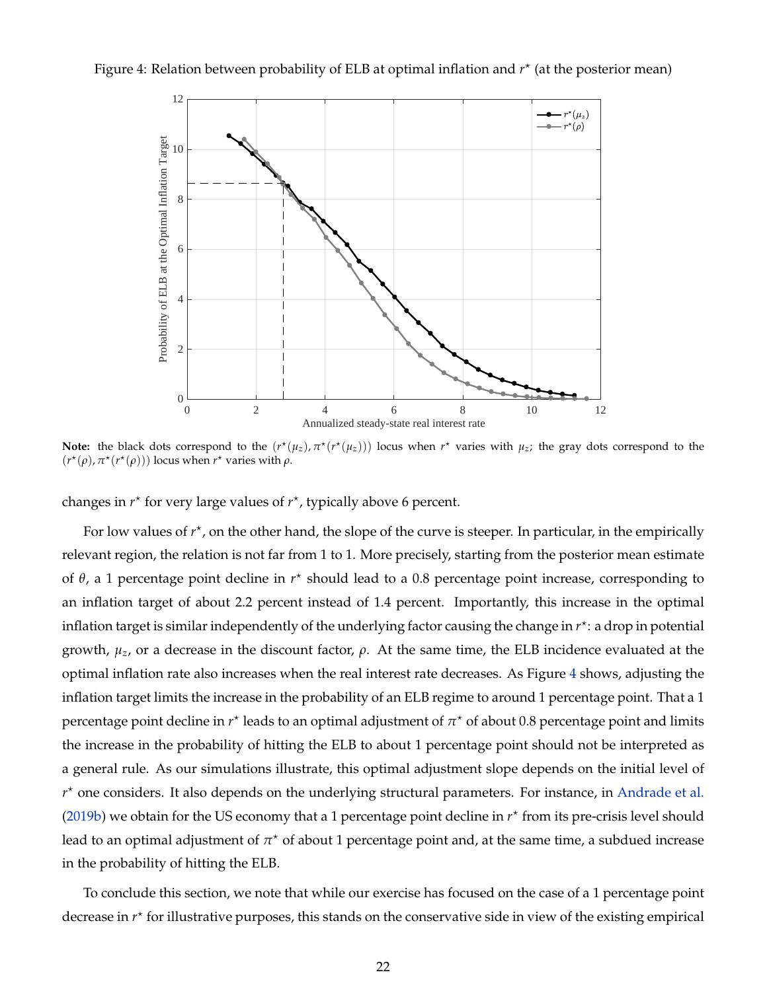<span id="page-21-0"></span>



**Note:** the black dots correspond to the  $(r^*(\mu_z), \pi^*(r^*(\mu_z)))$  locus when  $r^*$  varies with  $\mu_z$ ; the gray dots correspond to the  $(r^*(\rho), \pi^*(r^*(\rho)))$  locus when  $r^*$  varies with  $\rho$ .

changes in  $r^*$  for very large values of  $r^*$ , typically above 6 percent.

For low values of  $r^*$ , on the other hand, the slope of the curve is steeper. In particular, in the empirically relevant region, the relation is not far from 1 to 1. More precisely, starting from the posterior mean estimate of θ, a 1 percentage point decline in  $r<sup>*</sup>$  should lead to a 0.8 percentage point increase, corresponding to an inflation target of about 2.2 percent instead of 1.4 percent. Importantly, this increase in the optimal inflation target is similar independently of the underlying factor causing the change in *r* ? : a drop in potential growth,  $\mu_z$ , or a decrease in the discount factor,  $\rho$ . At the same time, the ELB incidence evaluated at the optimal inflation rate also increases when the real interest rate decreases. As Figure [4](#page-21-0) shows, adjusting the inflation target limits the increase in the probability of an ELB regime to around 1 percentage point. That a 1 percentage point decline in  $r^\star$  leads to an optimal adjustment of  $\pi^\star$  of about 0.8 percentage point and limits the increase in the probability of hitting the ELB to about 1 percentage point should not be interpreted as a general rule. As our simulations illustrate, this optimal adjustment slope depends on the initial level of  $r<sup>*</sup>$  one considers. It also depends on the underlying structural parameters. For instance, in [Andrade et al.](#page-33-1) [\(2019b\)](#page-33-1) we obtain for the US economy that a 1 percentage point decline in  $r<sup>*</sup>$  from its pre-crisis level should lead to an optimal adjustment of  $\pi^\star$  of about 1 percentage point and, at the same time, a subdued increase in the probability of hitting the ELB.

To conclude this section, we note that while our exercise has focused on the case of a 1 percentage point decrease in  $r^*$  for illustrative purposes, this stands on the conservative side in view of the existing empirical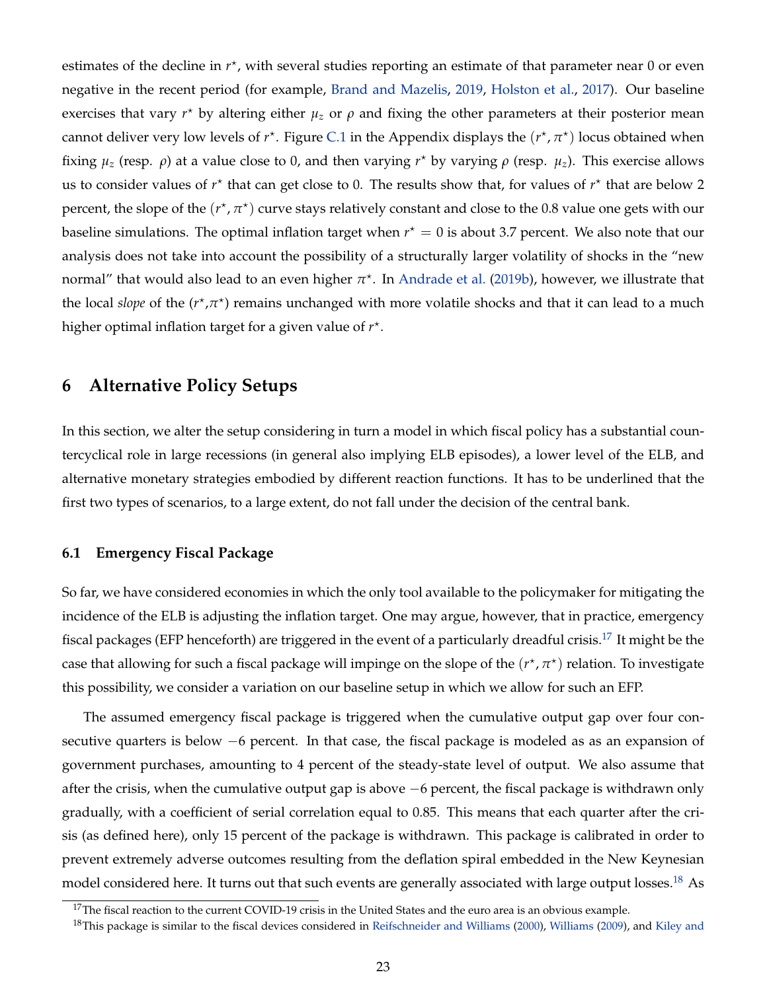estimates of the decline in  $r^*$ , with several studies reporting an estimate of that parameter near 0 or even negative in the recent period (for example, [Brand and Mazelis,](#page-34-0) [2019,](#page-34-0) [Holston et al.,](#page-35-2) [2017\)](#page-35-2). Our baseline exercises that vary  $r^*$  by altering either  $\mu_z$  or  $\rho$  and fixing the other parameters at their posterior mean cannot deliver very low levels of  $r^*$ . Figure [C.1](#page-32-0) in the Appendix displays the  $(r^*, \pi^*)$  locus obtained when fixing  $μ_z$  (resp.  $ρ$ ) at a value close to 0, and then varying  $r<sup>*</sup>$  by varying  $ρ$  (resp.  $μ_z$ ). This exercise allows us to consider values of  $r^*$  that can get close to 0. The results show that, for values of  $r^*$  that are below 2 percent, the slope of the  $(r^{\star},\pi^{\star})$  curve stays relatively constant and close to the 0.8 value one gets with our baseline simulations. The optimal inflation target when  $r^* = 0$  is about 3.7 percent. We also note that our analysis does not take into account the possibility of a structurally larger volatility of shocks in the "new normal" that would also lead to an even higher  $\pi^\star$ . In [Andrade et al.](#page-33-1) [\(2019b\)](#page-33-1), however, we illustrate that the local *slope* of the ( $r^*$ , $\pi^*$ ) remains unchanged with more volatile shocks and that it can lead to a much higher optimal inflation target for a given value of  $r^*$ .

### **6 Alternative Policy Setups**

In this section, we alter the setup considering in turn a model in which fiscal policy has a substantial countercyclical role in large recessions (in general also implying ELB episodes), a lower level of the ELB, and alternative monetary strategies embodied by different reaction functions. It has to be underlined that the first two types of scenarios, to a large extent, do not fall under the decision of the central bank.

### **6.1 Emergency Fiscal Package**

So far, we have considered economies in which the only tool available to the policymaker for mitigating the incidence of the ELB is adjusting the inflation target. One may argue, however, that in practice, emergency fiscal packages (EFP henceforth) are triggered in the event of a particularly dreadful crisis.<sup>[17](#page-22-0)</sup> It might be the case that allowing for such a fiscal package will impinge on the slope of the  $(r^\star, \pi^\star)$  relation. To investigate this possibility, we consider a variation on our baseline setup in which we allow for such an EFP.

The assumed emergency fiscal package is triggered when the cumulative output gap over four consecutive quarters is below −6 percent. In that case, the fiscal package is modeled as as an expansion of government purchases, amounting to 4 percent of the steady-state level of output. We also assume that after the crisis, when the cumulative output gap is above −6 percent, the fiscal package is withdrawn only gradually, with a coefficient of serial correlation equal to 0.85. This means that each quarter after the crisis (as defined here), only 15 percent of the package is withdrawn. This package is calibrated in order to prevent extremely adverse outcomes resulting from the deflation spiral embedded in the New Keynesian model considered here. It turns out that such events are generally associated with large output losses.<sup>[18](#page-22-1)</sup> As

<span id="page-22-1"></span><span id="page-22-0"></span> $17$ The fiscal reaction to the current COVID-19 crisis in the United States and the euro area is an obvious example.

<sup>&</sup>lt;sup>18</sup>This package is similar to the fiscal devices considered in [Reifschneider and Williams](#page-36-6) [\(2000\)](#page-36-6), [Williams](#page-36-11) [\(2009\)](#page-36-11), and [Kiley and](#page-36-7)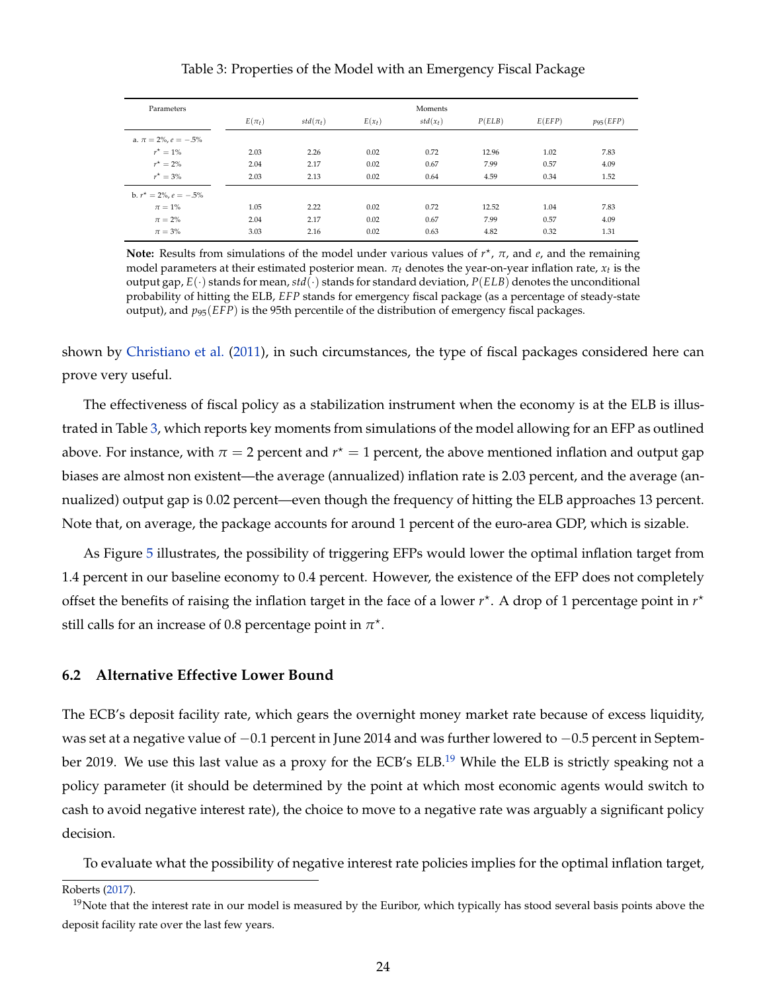#### Table 3: Properties of the Model with an Emergency Fiscal Package

<span id="page-23-0"></span>

| Parameters                   | Moments    |              |          |            |        |        |               |  |
|------------------------------|------------|--------------|----------|------------|--------|--------|---------------|--|
|                              | $E(\pi_t)$ | $std(\pi_t)$ | $E(x_t)$ | $std(x_t)$ | P(ELB) | E(EFP) | $p_{95}(EFP)$ |  |
| a. $\pi = 2\%$ , $e = -.5\%$ |            |              |          |            |        |        |               |  |
| $r^{\star} = 1\%$            | 2.03       | 2.26         | 0.02     | 0.72       | 12.96  | 1.02   | 7.83          |  |
| $r^* = 2\%$                  | 2.04       | 2.17         | 0.02     | 0.67       | 7.99   | 0.57   | 4.09          |  |
| $r^{\star} = 3\%$            | 2.03       | 2.13         | 0.02     | 0.64       | 4.59   | 0.34   | 1.52          |  |
| b. $r^* = 2\%$ , $e = -.5\%$ |            |              |          |            |        |        |               |  |
| $\pi=1\%$                    | 1.05       | 2.22         | 0.02     | 0.72       | 12.52  | 1.04   | 7.83          |  |
| $\pi = 2\%$                  | 2.04       | 2.17         | 0.02     | 0.67       | 7.99   | 0.57   | 4.09          |  |
| $\pi = 3\%$                  | 3.03       | 2.16         | 0.02     | 0.63       | 4.82   | 0.32   | 1.31          |  |

**Note:** Results from simulations of the model under various values of  $r<sup>*</sup>$ , π, and *e*, and the remaining model parameters at their estimated posterior mean. *πt* denotes the year-on-year inflation rate, *xt* is the output gap,  $E(\cdot)$  stands for mean,  $std(\cdot)$  stands for standard deviation,  $P(ELB)$  denotes the unconditional probability of hitting the ELB, *EFP* stands for emergency fiscal package (as a percentage of steady-state output), and  $p_{95}(EFP)$  is the 95th percentile of the distribution of emergency fiscal packages.

shown by [Christiano et al.](#page-34-5) [\(2011\), in such circumstances, the type of fiscal packages considered here can](#page-36-7) [prove very useful.](#page-36-7)

[The effectiveness of fiscal policy as a stabilization instrument when the economy is at the ELB is illus](#page-36-7)trated in Table [3, which reports key moments from simulations of the model allowing for an EFP as outlined](#page-36-7) above. For instance, with  $\pi = 2$  percent and  $r^\star = 1$  percent, the above mentioned inflation and output gap [biases are almost non existent—the average \(annualized\) inflation rate is 2.03 percent, and the average \(an](#page-36-7)[nualized\) output gap is 0.02 percent—even though the frequency of hitting the ELB approaches 13 percent.](#page-36-7) [Note that, on average, the package accounts for around 1 percent of the euro-area GDP, which is sizable.](#page-36-7)

As Figure [5](#page-24-0) [illustrates, the possibility of triggering EFPs would lower the optimal inflation target from](#page-36-7) [1.4 percent in our baseline economy to 0.4 percent. However, the existence of the EFP does not completely](#page-36-7) [offset the benefits of raising the inflation target in the face of a lower](#page-36-7)  $r^*$ . A drop of 1 percentage point in  $r^*$ [still calls for an increase of 0.8 percentage point in](#page-36-7)  $\pi^*$ .

### **[6.2 Alternative Effective Lower Bound](#page-36-7)**

[The ECB's deposit facility rate, which gears the overnight money market rate because of excess liquidity,](#page-36-7) was set at a negative value of −[0.1 percent in June 2014 and was further lowered to](#page-36-7) −0.5 percent in Septem[ber 2019. We use this last value as a proxy for the ECB's ELB.](#page-36-7)<sup>[19](#page-23-1)</sup> While the ELB is strictly speaking not a [policy parameter \(it should be determined by the point at which most economic agents would switch to](#page-36-7) [cash to avoid negative interest rate\), the choice to move to a negative rate was arguably a significant policy](#page-36-7) [decision.](#page-36-7)

[To evaluate what the possibility of negative interest rate policies implies for the optimal inflation target,](#page-36-7)

<span id="page-23-1"></span>[Roberts](#page-36-7) [\(2017\)](#page-36-7).

<sup>&</sup>lt;sup>19</sup>Note that the interest rate in our model is measured by the Euribor, which typically has stood several basis points above the deposit facility rate over the last few years.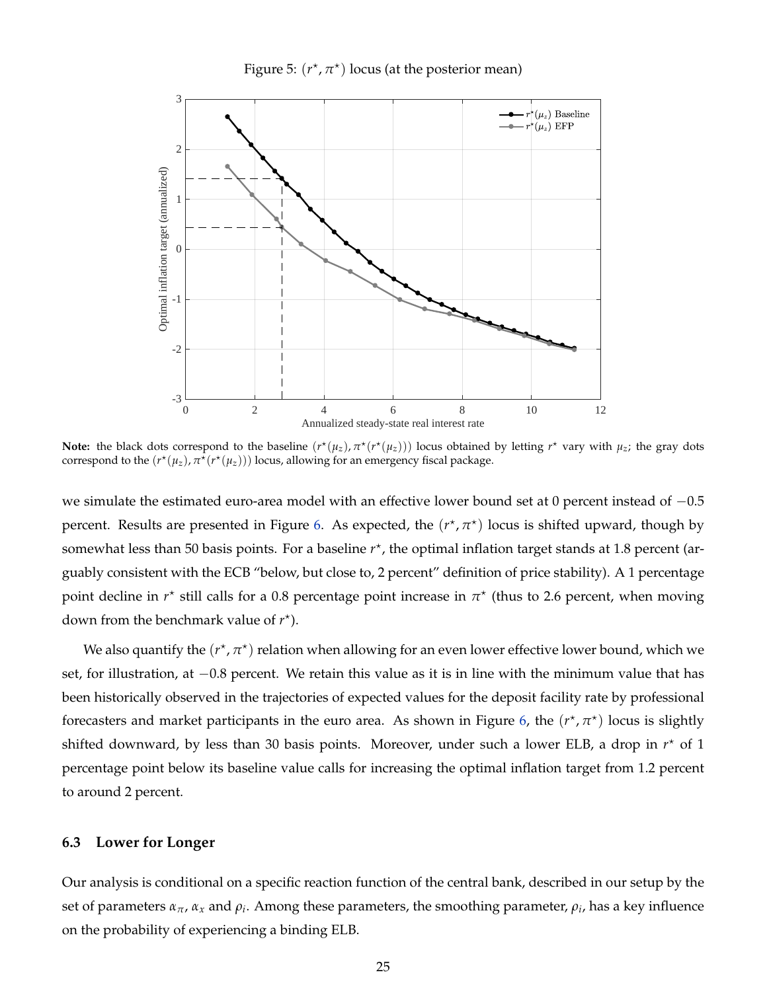Figure 5:  $(r^*, \pi^*)$  locus (at the posterior mean)

<span id="page-24-0"></span>

**Note:** the black dots correspond to the baseline  $(r^*(\mu_z), \pi^*(r^*(\mu_z)))$  locus obtained by letting  $r^*$  vary with  $\mu_z$ ; the gray dots correspond to the  $(r^{\star}(\mu_z), \pi^{\overline{\star}}(r^{\star}(\mu_z)))$  locus, allowing for an emergency fiscal package.

we simulate the estimated euro-area model with an effective lower bound set at 0 percent instead of -0.5 percent. Results are presented in Figure [6.](#page-25-0) As expected, the  $(r^*, \pi^*)$  locus is shifted upward, though by somewhat less than 50 basis points. For a baseline  $r^*$ , the optimal inflation target stands at 1.8 percent (arguably consistent with the ECB "below, but close to, 2 percent" definition of price stability). A 1 percentage point decline in  $r^*$  still calls for a 0.8 percentage point increase in  $\pi^*$  (thus to 2.6 percent, when moving down from the benchmark value of  $r^*$ ).

We also quantify the  $(r^{\star}, \pi^{\star})$  relation when allowing for an even lower effective lower bound, which we set, for illustration, at −0.8 percent. We retain this value as it is in line with the minimum value that has been historically observed in the trajectories of expected values for the deposit facility rate by professional forecasters and market participants in the euro area. As shown in Figure [6,](#page-25-0) the  $(r<sup>*</sup>, π<sup>*</sup>)$  locus is slightly shifted downward, by less than 30 basis points. Moreover, under such a lower ELB, a drop in  $r<sup>*</sup>$  of 1 percentage point below its baseline value calls for increasing the optimal inflation target from 1.2 percent to around 2 percent.

#### **6.3 Lower for Longer**

Our analysis is conditional on a specific reaction function of the central bank, described in our setup by the set of parameters  $\alpha_\pi$ ,  $\alpha_x$  and  $\rho_i$ . Among these parameters, the smoothing parameter,  $\rho_i$ , has a key influence on the probability of experiencing a binding ELB.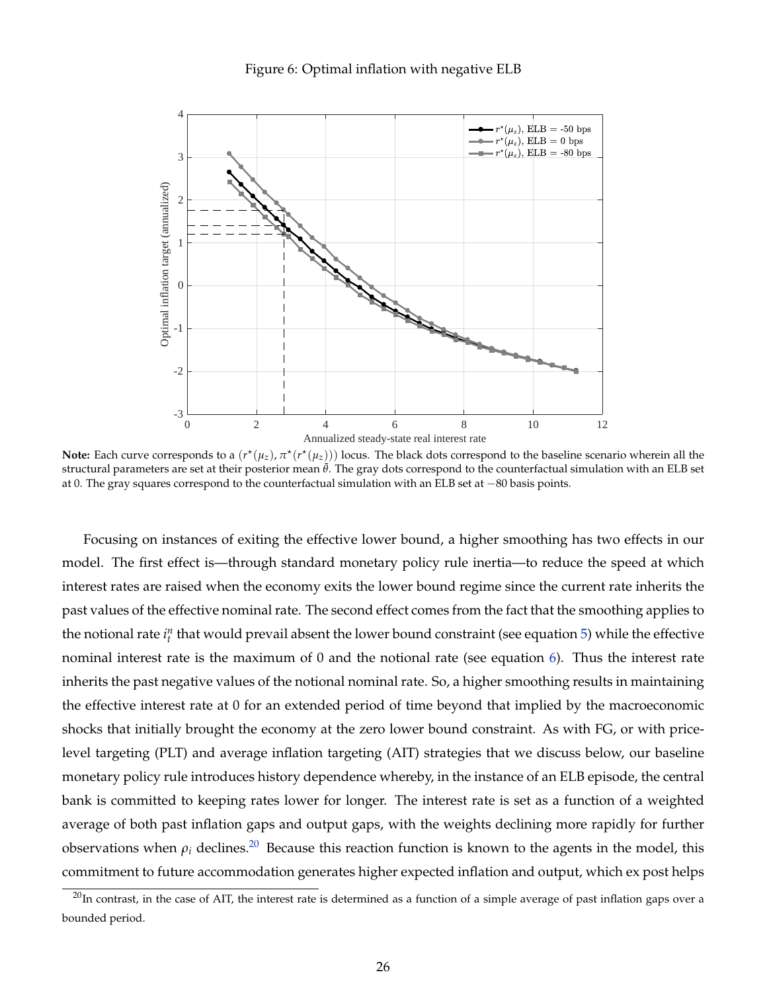<span id="page-25-0"></span>

**Note:** Each curve corresponds to a  $(r^{\star}(\mu_z), \pi^{\star}(r^{\star}(\mu_z)))$  locus. The black dots correspond to the baseline scenario wherein all the structural parameters are set at their posterior mean ¯*θ*. The gray dots correspond to the counterfactual simulation with an ELB set at 0. The gray squares correspond to the counterfactual simulation with an ELB set at −80 basis points.

Focusing on instances of exiting the effective lower bound, a higher smoothing has two effects in our model. The first effect is—through standard monetary policy rule inertia—to reduce the speed at which interest rates are raised when the economy exits the lower bound regime since the current rate inherits the past values of the effective nominal rate. The second effect comes from the fact that the smoothing applies to the notional rate  $i_t^n$  that would prevail absent the lower bound constraint (see equation [5\)](#page-9-2) while the effective nominal interest rate is the maximum of 0 and the notional rate (see equation [6\)](#page-9-3). Thus the interest rate inherits the past negative values of the notional nominal rate. So, a higher smoothing results in maintaining the effective interest rate at 0 for an extended period of time beyond that implied by the macroeconomic shocks that initially brought the economy at the zero lower bound constraint. As with FG, or with pricelevel targeting (PLT) and average inflation targeting (AIT) strategies that we discuss below, our baseline monetary policy rule introduces history dependence whereby, in the instance of an ELB episode, the central bank is committed to keeping rates lower for longer. The interest rate is set as a function of a weighted average of both past inflation gaps and output gaps, with the weights declining more rapidly for further observations when  $\rho_i$  declines.<sup>[20](#page-25-1)</sup> Because this reaction function is known to the agents in the model, this commitment to future accommodation generates higher expected inflation and output, which ex post helps

<span id="page-25-1"></span> $^{20}$ In contrast, in the case of AIT, the interest rate is determined as a function of a simple average of past inflation gaps over a bounded period.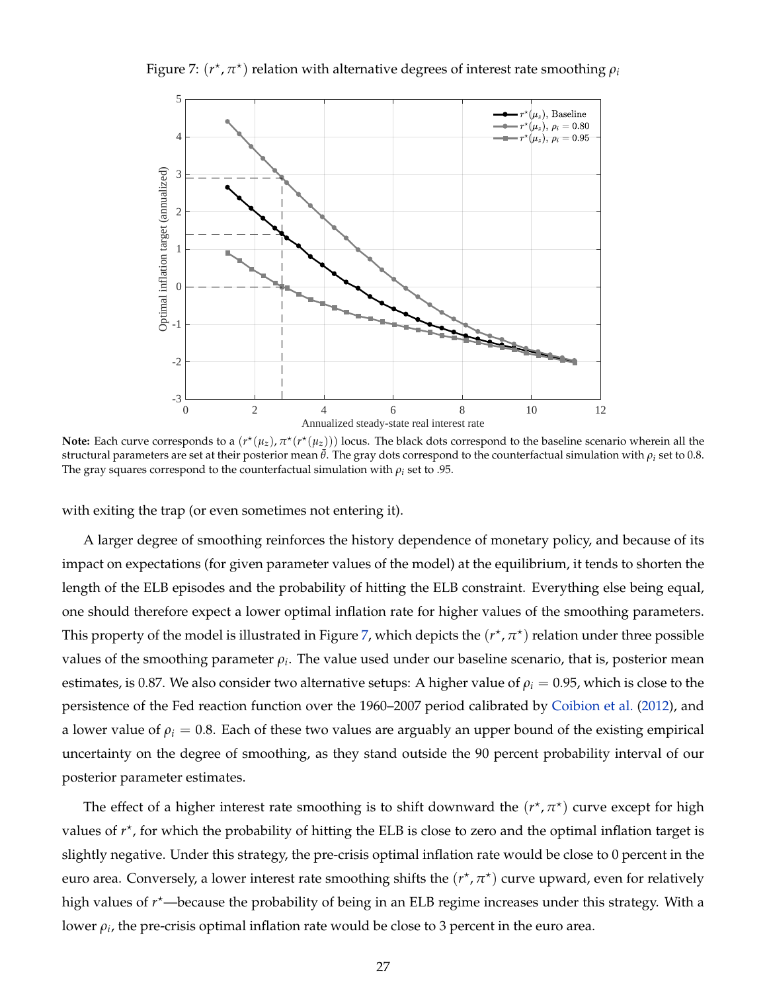<span id="page-26-0"></span>Figure 7:  $(r^{\star}, \pi^{\star})$  relation with alternative degrees of interest rate smoothing  $\rho_i$ 



**Note:** Each curve corresponds to a  $(r^{\star}(\mu_z), \pi^{\star}(r^{\star}(\mu_z)))$  locus. The black dots correspond to the baseline scenario wherein all the structural parameters are set at their posterior mean  $\bar{\theta}$ . The gray dots correspond to the counterfactual simulation with  $\rho_i$  set to 0.8. The gray squares correspond to the counterfactual simulation with  $\rho_i$  set to .95.

with exiting the trap (or even sometimes not entering it).

A larger degree of smoothing reinforces the history dependence of monetary policy, and because of its impact on expectations (for given parameter values of the model) at the equilibrium, it tends to shorten the length of the ELB episodes and the probability of hitting the ELB constraint. Everything else being equal, one should therefore expect a lower optimal inflation rate for higher values of the smoothing parameters. This property of the model is illustrated in Figure [7,](#page-26-0) which depicts the  $(r^\star,\pi^\star)$  relation under three possible values of the smoothing parameter  $\rho_i$ . The value used under our baseline scenario, that is, posterior mean estimates, is 0.87. We also consider two alternative setups: A higher value of  $\rho_i = 0.95$ , which is close to the persistence of the Fed reaction function over the 1960–2007 period calibrated by [Coibion et al.](#page-35-4) [\(2012\)](#page-35-4), and a lower value of  $\rho_i = 0.8$ . Each of these two values are arguably an upper bound of the existing empirical uncertainty on the degree of smoothing, as they stand outside the 90 percent probability interval of our posterior parameter estimates.

The effect of a higher interest rate smoothing is to shift downward the  $(r^{\star}, \pi^{\star})$  curve except for high values of  $r^*$ , for which the probability of hitting the ELB is close to zero and the optimal inflation target is slightly negative. Under this strategy, the pre-crisis optimal inflation rate would be close to 0 percent in the euro area. Conversely, a lower interest rate smoothing shifts the  $(r<sup>*</sup>, π<sup>*</sup>)$  curve upward, even for relatively high values of *r*<sup>\*</sup>—because the probability of being in an ELB regime increases under this strategy. With a lower  $\rho_i$ , the pre-crisis optimal inflation rate would be close to 3 percent in the euro area.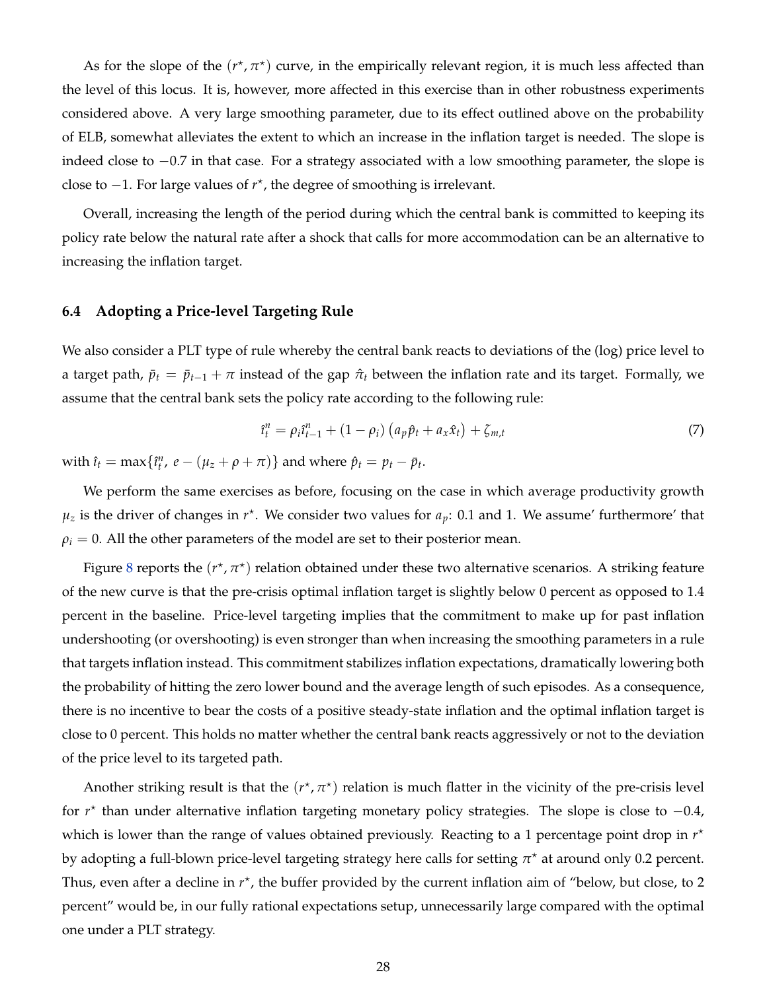As for the slope of the  $(r^*, \pi^*)$  curve, in the empirically relevant region, it is much less affected than the level of this locus. It is, however, more affected in this exercise than in other robustness experiments considered above. A very large smoothing parameter, due to its effect outlined above on the probability of ELB, somewhat alleviates the extent to which an increase in the inflation target is needed. The slope is indeed close to −0.7 in that case. For a strategy associated with a low smoothing parameter, the slope is close to −1. For large values of *r* ? , the degree of smoothing is irrelevant.

Overall, increasing the length of the period during which the central bank is committed to keeping its policy rate below the natural rate after a shock that calls for more accommodation can be an alternative to increasing the inflation target.

### **6.4 Adopting a Price-level Targeting Rule**

We also consider a PLT type of rule whereby the central bank reacts to deviations of the (log) price level to a target path,  $\bar{p}_t = \bar{p}_{t-1} + \pi$  instead of the gap  $\hat{\pi}_t$  between the inflation rate and its target. Formally, we assume that the central bank sets the policy rate according to the following rule:

<span id="page-27-0"></span>
$$
\hat{i}_t^n = \rho_i \hat{i}_{t-1}^n + (1 - \rho_i) \left( a_p \hat{p}_t + a_x \hat{x}_t \right) + \zeta_{m,t}
$$
\n(7)

with  $\hat{\imath}_t = \max\{\hat{\imath}_t^n, e - (\mu_z + \rho + \pi)\}\$  and where  $\hat{p}_t = p_t - \bar{p}_t$ .

We perform the same exercises as before, focusing on the case in which average productivity growth  $\mu_z$  is the driver of changes in  $r^*$ . We consider two values for  $a_p$ : 0.1 and 1. We assume' furthermore' that  $\rho_i = 0$ . All the other parameters of the model are set to their posterior mean.

Figure [8](#page-28-0) reports the  $(r^{\star}, \pi^{\star})$  relation obtained under these two alternative scenarios. A striking feature of the new curve is that the pre-crisis optimal inflation target is slightly below 0 percent as opposed to 1.4 percent in the baseline. Price-level targeting implies that the commitment to make up for past inflation undershooting (or overshooting) is even stronger than when increasing the smoothing parameters in a rule that targets inflation instead. This commitment stabilizes inflation expectations, dramatically lowering both the probability of hitting the zero lower bound and the average length of such episodes. As a consequence, there is no incentive to bear the costs of a positive steady-state inflation and the optimal inflation target is close to 0 percent. This holds no matter whether the central bank reacts aggressively or not to the deviation of the price level to its targeted path.

Another striking result is that the  $(r^*, \pi^*)$  relation is much flatter in the vicinity of the pre-crisis level for *r*<sup>\*</sup> than under alternative inflation targeting monetary policy strategies. The slope is close to -0.4, which is lower than the range of values obtained previously. Reacting to a 1 percentage point drop in  $r^*$ by adopting a full-blown price-level targeting strategy here calls for setting *π* ? at around only 0.2 percent. Thus, even after a decline in  $r^*$ , the buffer provided by the current inflation aim of "below, but close, to 2 percent" would be, in our fully rational expectations setup, unnecessarily large compared with the optimal one under a PLT strategy.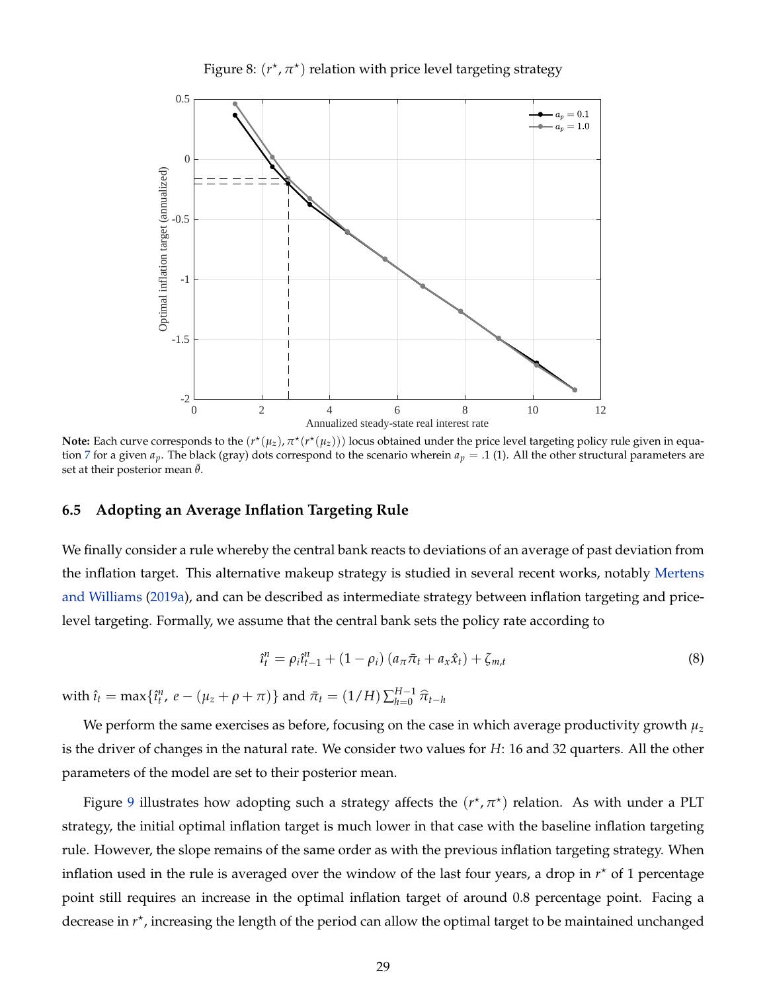<span id="page-28-0"></span>

Figure 8:  $(r^{\star}, \pi^{\star})$  relation with price level targeting strategy

Note: Each curve corresponds to the  $(r^{\star}(\mu_z), \pi^{\star}(r^{\star}(\mu_z)))$  locus obtained under the price level targeting policy rule given in equa-tion [7](#page-27-0) for a given  $a_p$ . The black (gray) dots correspond to the scenario wherein  $a_p = .1$  (1). All the other structural parameters are set at their posterior mean  $\bar{\theta}$ .

#### **6.5 Adopting an Average Inflation Targeting Rule**

We finally consider a rule whereby the central bank reacts to deviations of an average of past deviation from the inflation target. This alternative makeup strategy is studied in several recent works, notably [Mertens](#page-36-2) [and Williams](#page-36-2) [\(2019a\)](#page-36-2), and can be described as intermediate strategy between inflation targeting and pricelevel targeting. Formally, we assume that the central bank sets the policy rate according to

<span id="page-28-1"></span>
$$
\hat{\iota}_t^n = \rho_i \hat{\iota}_{t-1}^n + (1 - \rho_i) \left( a_{\pi} \bar{\pi}_t + a_{\pi} \hat{x}_t \right) + \zeta_{m,t}
$$
\n(8)

 $\text{with } \hat{\imath}_t = \max\{\hat{\imath}_t^n, e - (\mu_z + \rho + \pi)\}\text{ and } \bar{\pi}_t = (1/H)\sum_{h=0}^{H-1} \hat{\pi}_{t-h}$ 

We perform the same exercises as before, focusing on the case in which average productivity growth *µ<sup>z</sup>* is the driver of changes in the natural rate. We consider two values for *H*: 16 and 32 quarters. All the other parameters of the model are set to their posterior mean.

Figure [9](#page-29-0) illustrates how adopting such a strategy affects the  $(r^*, \pi^*)$  relation. As with under a PLT strategy, the initial optimal inflation target is much lower in that case with the baseline inflation targeting rule. However, the slope remains of the same order as with the previous inflation targeting strategy. When inflation used in the rule is averaged over the window of the last four years, a drop in *r* ? of 1 percentage point still requires an increase in the optimal inflation target of around 0.8 percentage point. Facing a decrease in  $r^*$ , increasing the length of the period can allow the optimal target to be maintained unchanged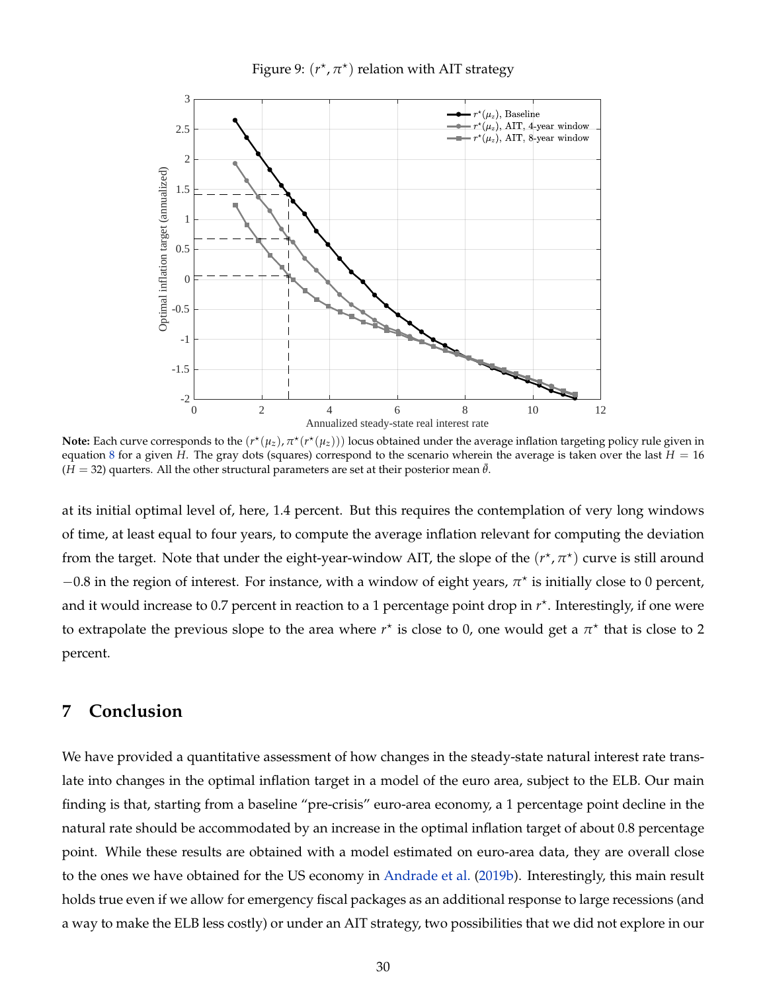<span id="page-29-0"></span>

Figure 9:  $(r^{\star}, \pi^{\star})$  relation with AIT strategy

**Note:** Each curve corresponds to the  $(r^{\star}(\mu_z), \pi^{\star}(r^{\star}(\mu_z)))$  locus obtained under the average inflation targeting policy rule given in equation [8](#page-28-1) for a given *H*. The gray dots (squares) correspond to the scenario wherein the average is taken over the last  $H = 16$  $(H = 32)$  quarters. All the other structural parameters are set at their posterior mean  $\bar{\theta}$ .

at its initial optimal level of, here, 1.4 percent. But this requires the contemplation of very long windows of time, at least equal to four years, to compute the average inflation relevant for computing the deviation from the target. Note that under the eight-year-window AIT, the slope of the  $(r^{\star}, \pi^{\star})$  curve is still around  $-0.8$  in the region of interest. For instance, with a window of eight years,  $\pi^*$  is initially close to 0 percent, and it would increase to 0.7 percent in reaction to a 1 percentage point drop in  $r^*$ . Interestingly, if one were to extrapolate the previous slope to the area where  $r^*$  is close to 0, one would get a  $\pi^*$  that is close to 2 percent.

### **7 Conclusion**

We have provided a quantitative assessment of how changes in the steady-state natural interest rate translate into changes in the optimal inflation target in a model of the euro area, subject to the ELB. Our main finding is that, starting from a baseline "pre-crisis" euro-area economy, a 1 percentage point decline in the natural rate should be accommodated by an increase in the optimal inflation target of about 0.8 percentage point. While these results are obtained with a model estimated on euro-area data, they are overall close to the ones we have obtained for the US economy in [Andrade et al.](#page-33-1) [\(2019b\)](#page-33-1). Interestingly, this main result holds true even if we allow for emergency fiscal packages as an additional response to large recessions (and a way to make the ELB less costly) or under an AIT strategy, two possibilities that we did not explore in our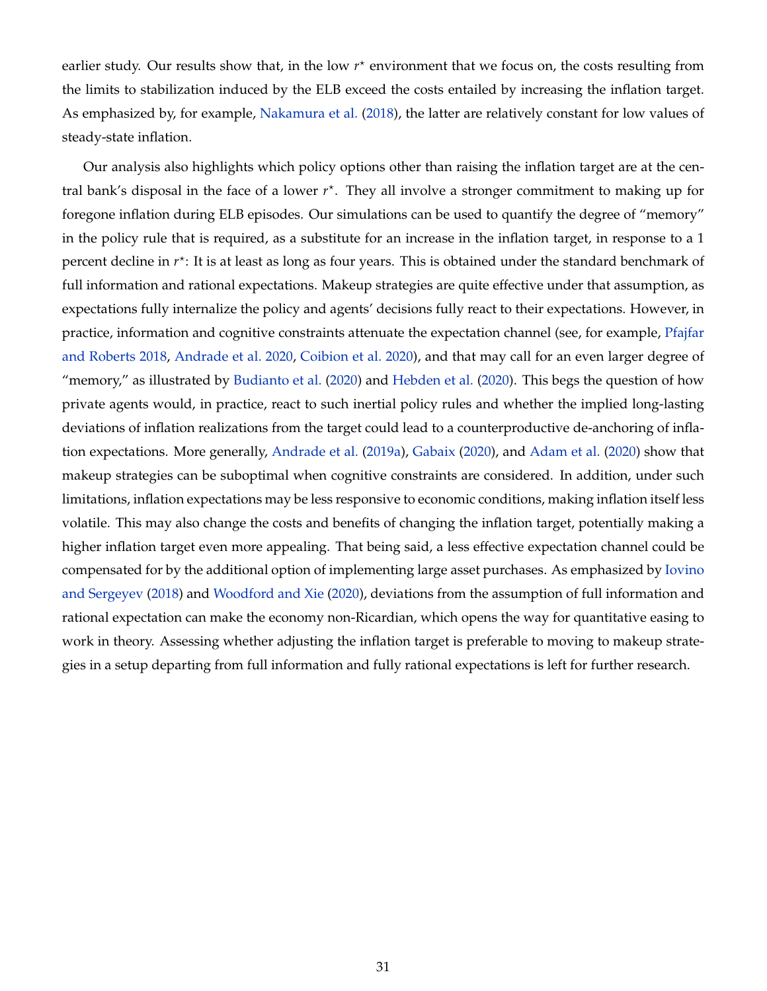earlier study. Our results show that, in the low  $r^*$  environment that we focus on, the costs resulting from the limits to stabilization induced by the ELB exceed the costs entailed by increasing the inflation target. As emphasized by, for example, [Nakamura et al.](#page-36-12) [\(2018\)](#page-36-12), the latter are relatively constant for low values of steady-state inflation.

Our analysis also highlights which policy options other than raising the inflation target are at the central bank's disposal in the face of a lower  $r^*$ . They all involve a stronger commitment to making up for foregone inflation during ELB episodes. Our simulations can be used to quantify the degree of "memory" in the policy rule that is required, as a substitute for an increase in the inflation target, in response to a 1 percent decline in *r*<sup>\*</sup>: It is at least as long as four years. This is obtained under the standard benchmark of full information and rational expectations. Makeup strategies are quite effective under that assumption, as expectations fully internalize the policy and agents' decisions fully react to their expectations. However, in practice, information and cognitive constraints attenuate the expectation channel (see, for example, [Pfajfar](#page-36-13) [and Roberts](#page-36-13) [2018,](#page-36-13) [Andrade et al.](#page-33-10) [2020,](#page-33-10) [Coibion et al.](#page-35-13) [2020\)](#page-35-13), and that may call for an even larger degree of "memory," as illustrated by [Budianto et al.](#page-34-8) [\(2020\)](#page-34-8) and [Hebden et al.](#page-35-6) [\(2020\)](#page-35-6). This begs the question of how private agents would, in practice, react to such inertial policy rules and whether the implied long-lasting deviations of inflation realizations from the target could lead to a counterproductive de-anchoring of inflation expectations. More generally, [Andrade et al.](#page-33-11) [\(2019a\)](#page-33-11), [Gabaix](#page-35-14) [\(2020\)](#page-35-14), and [Adam et al.](#page-33-12) [\(2020\)](#page-33-12) show that makeup strategies can be suboptimal when cognitive constraints are considered. In addition, under such limitations, inflation expectations may be less responsive to economic conditions, making inflation itself less volatile. This may also change the costs and benefits of changing the inflation target, potentially making a higher inflation target even more appealing. That being said, a less effective expectation channel could be compensated for by the additional option of implementing large asset purchases. As emphasized by [Iovino](#page-36-14) [and Sergeyev](#page-36-14) [\(2018\)](#page-36-14) and [Woodford and Xie](#page-37-1) [\(2020\)](#page-37-1), deviations from the assumption of full information and rational expectation can make the economy non-Ricardian, which opens the way for quantitative easing to work in theory. Assessing whether adjusting the inflation target is preferable to moving to makeup strategies in a setup departing from full information and fully rational expectations is left for further research.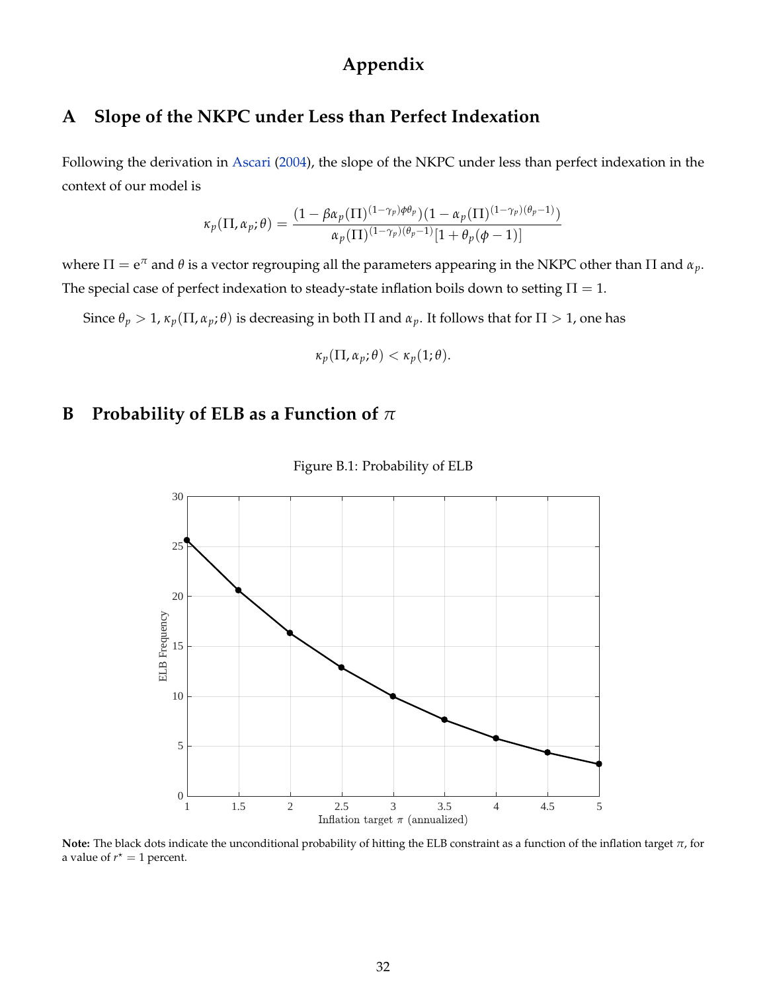# **Appendix**

### <span id="page-31-0"></span>**A Slope of the NKPC under Less than Perfect Indexation**

Following the derivation in [Ascari](#page-33-13) [\(2004\)](#page-33-13), the slope of the NKPC under less than perfect indexation in the context of our model is

$$
\kappa_p(\Pi, \alpha_p; \theta) = \frac{(1 - \beta \alpha_p(\Pi)^{(1 - \gamma_p)\phi \theta_p})(1 - \alpha_p(\Pi)^{(1 - \gamma_p)(\theta_p - 1)})}{\alpha_p(\Pi)^{(1 - \gamma_p)(\theta_p - 1)}[1 + \theta_p(\phi - 1)]}
$$

where  $\Pi = e^{\pi}$  and  $\theta$  is a vector regrouping all the parameters appearing in the NKPC other than  $\Pi$  and  $\alpha_p$ . The special case of perfect indexation to steady-state inflation boils down to setting  $\Pi = 1$ .

Since  $\theta_p > 1$ ,  $\kappa_p(\Pi, \alpha_p; \theta)$  is decreasing in both  $\Pi$  and  $\alpha_p$ . It follows that for  $\Pi > 1$ , one has

$$
\kappa_p(\Pi,\alpha_p;\theta)<\kappa_p(1;\theta).
$$

### <span id="page-31-1"></span>**B Probability of ELB as a Function of** *π*



Figure B.1: Probability of ELB

**Note:** The black dots indicate the unconditional probability of hitting the ELB constraint as a function of the inflation target *π*, for a value of  $r^* = 1$  percent.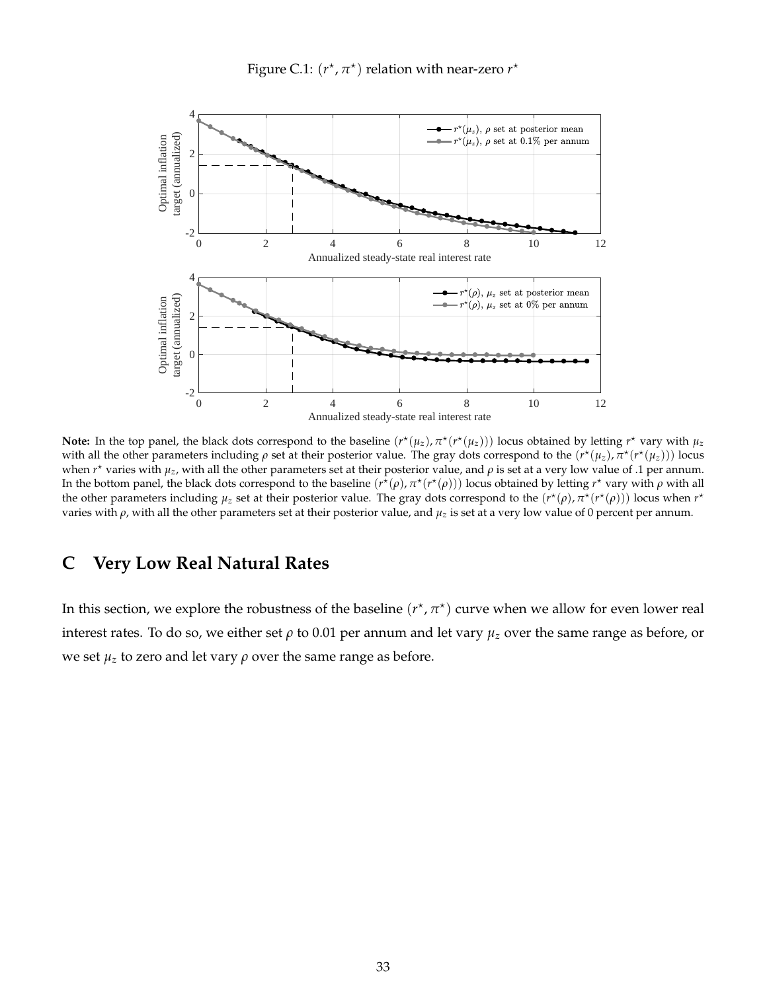Figure C.1:  $(r^*, \pi^*)$  relation with near-zero  $r^*$ 

<span id="page-32-0"></span>

**Note:** In the top panel, the black dots correspond to the baseline  $(r^*(\mu_z), \pi^*(r^*(\mu_z)))$  locus obtained by letting  $r^*$  vary with  $\mu_z$ with all the other parameters including  $\rho$  set at their posterior value. The gray dots correspond to the  $(r^{\star}(\mu_z), \pi^{\star}(r^{\star}(\mu_z)))$  locus when *r*<sup>\*</sup> varies with *μ*<sub>z</sub>, with all the other parameters set at their posterior value, and *ρ* is set at a very low value of .1 per annum. In the bottom panel, the black dots correspond to the baseline  $(r^{\bar{\star}}(\rho), \pi^{\star}(r^{\star}(\rho)))$  locus obtained by letting  $r^{\star}$  vary with  $\rho$  with all the other parameters including  $\mu_z$  set at their posterior value. The gray dots correspond to the  $(r^*(\rho), \pi^*(r^*(\rho)))$  locus when  $r^*$ varies with *ρ*, with all the other parameters set at their posterior value, and *µz* is set at a very low value of 0 percent per annum.

### **C Very Low Real Natural Rates**

In this section, we explore the robustness of the baseline  $(r^{\star},\pi^{\star})$  curve when we allow for even lower real interest rates. To do so, we either set  $\rho$  to 0.01 per annum and let vary  $\mu_z$  over the same range as before, or we set  $\mu_z$  to zero and let vary  $\rho$  over the same range as before.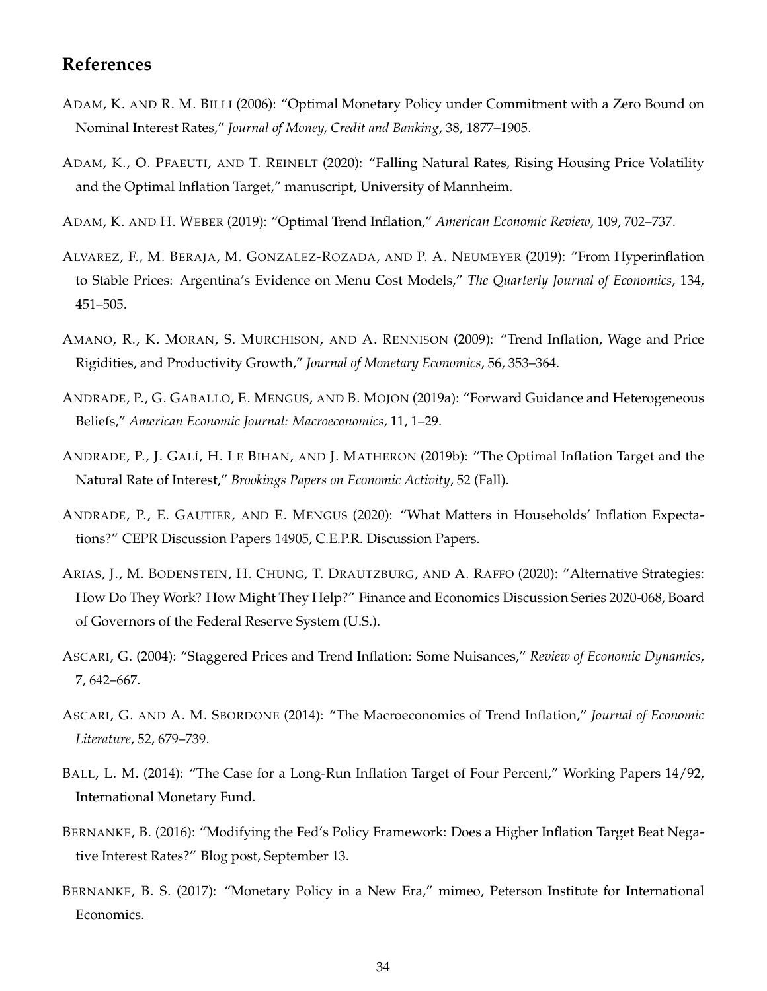### **References**

- <span id="page-33-2"></span>ADAM, K. AND R. M. BILLI (2006): "Optimal Monetary Policy under Commitment with a Zero Bound on Nominal Interest Rates," *Journal of Money, Credit and Banking*, 38, 1877–1905.
- <span id="page-33-12"></span>ADAM, K., O. PFAEUTI, AND T. REINELT (2020): "Falling Natural Rates, Rising Housing Price Volatility and the Optimal Inflation Target," manuscript, University of Mannheim.
- <span id="page-33-5"></span>ADAM, K. AND H. WEBER (2019): "Optimal Trend Inflation," *American Economic Review*, 109, 702–737.
- <span id="page-33-7"></span>ALVAREZ, F., M. BERAJA, M. GONZALEZ-ROZADA, AND P. A. NEUMEYER (2019): "From Hyperinflation to Stable Prices: Argentina's Evidence on Menu Cost Models," *The Quarterly Journal of Economics*, 134, 451–505.
- <span id="page-33-9"></span>AMANO, R., K. MORAN, S. MURCHISON, AND A. RENNISON (2009): "Trend Inflation, Wage and Price Rigidities, and Productivity Growth," *Journal of Monetary Economics*, 56, 353–364.
- <span id="page-33-11"></span>ANDRADE, P., G. GABALLO, E. MENGUS, AND B. MOJON (2019a): "Forward Guidance and Heterogeneous Beliefs," *American Economic Journal: Macroeconomics*, 11, 1–29.
- <span id="page-33-1"></span>ANDRADE, P., J. GALÍ, H. LE BIHAN, AND J. MATHERON (2019b): "The Optimal Inflation Target and the Natural Rate of Interest," *Brookings Papers on Economic Activity*, 52 (Fall).
- <span id="page-33-10"></span>ANDRADE, P., E. GAUTIER, AND E. MENGUS (2020): "What Matters in Households' Inflation Expectations?" CEPR Discussion Papers 14905, C.E.P.R. Discussion Papers.
- <span id="page-33-4"></span>ARIAS, J., M. BODENSTEIN, H. CHUNG, T. DRAUTZBURG, AND A. RAFFO (2020): "Alternative Strategies: How Do They Work? How Might They Help?" Finance and Economics Discussion Series 2020-068, Board of Governors of the Federal Reserve System (U.S.).
- <span id="page-33-13"></span>ASCARI, G. (2004): "Staggered Prices and Trend Inflation: Some Nuisances," *Review of Economic Dynamics*, 7, 642–667.
- <span id="page-33-6"></span>ASCARI, G. AND A. M. SBORDONE (2014): "The Macroeconomics of Trend Inflation," *Journal of Economic Literature*, 52, 679–739.
- <span id="page-33-0"></span>BALL, L. M. (2014): "The Case for a Long-Run Inflation Target of Four Percent," Working Papers 14/92, International Monetary Fund.
- <span id="page-33-8"></span>BERNANKE, B. (2016): "Modifying the Fed's Policy Framework: Does a Higher Inflation Target Beat Negative Interest Rates?" Blog post, September 13.
- <span id="page-33-3"></span>BERNANKE, B. S. (2017): "Monetary Policy in a New Era," mimeo, Peterson Institute for International Economics.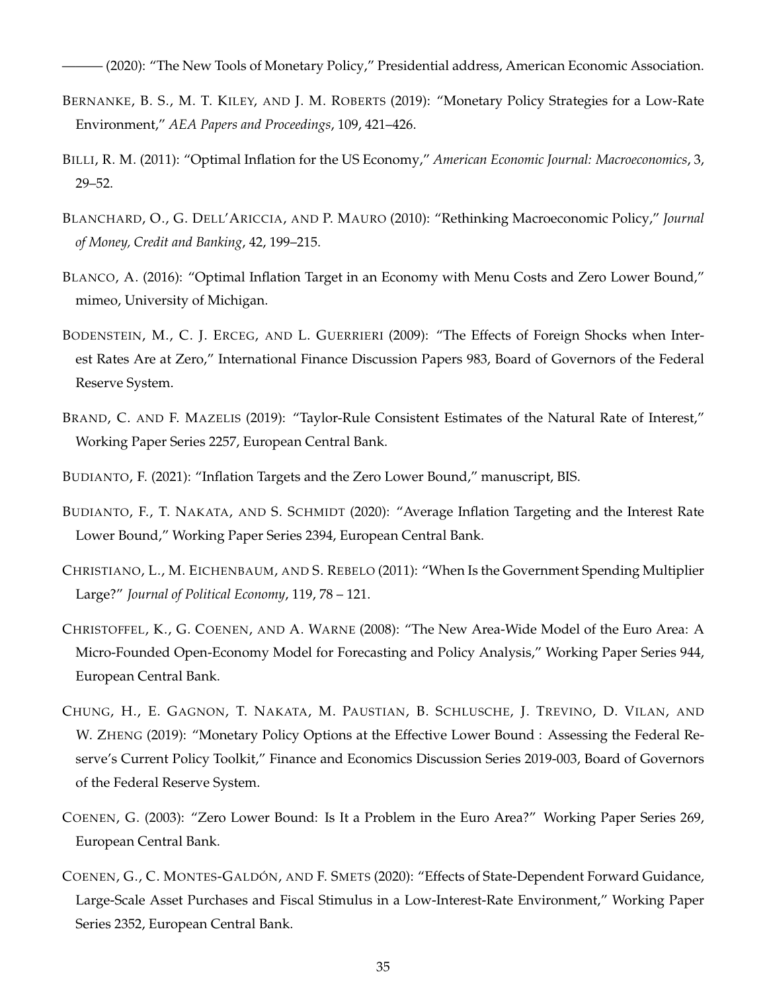<span id="page-34-1"></span>——— (2020): "The New Tools of Monetary Policy," Presidential address, American Economic Association.

- <span id="page-34-4"></span>BERNANKE, B. S., M. T. KILEY, AND J. M. ROBERTS (2019): "Monetary Policy Strategies for a Low-Rate Environment," *AEA Papers and Proceedings*, 109, 421–426.
- <span id="page-34-6"></span>BILLI, R. M. (2011): "Optimal Inflation for the US Economy," *American Economic Journal: Macroeconomics*, 3, 29–52.
- <span id="page-34-3"></span>BLANCHARD, O., G. DELL'ARICCIA, AND P. MAURO (2010): "Rethinking Macroeconomic Policy," *Journal of Money, Credit and Banking*, 42, 199–215.
- <span id="page-34-9"></span>BLANCO, A. (2016): "Optimal Inflation Target in an Economy with Menu Costs and Zero Lower Bound," mimeo, University of Michigan.
- <span id="page-34-12"></span>BODENSTEIN, M., C. J. ERCEG, AND L. GUERRIERI (2009): "The Effects of Foreign Shocks when Interest Rates Are at Zero," International Finance Discussion Papers 983, Board of Governors of the Federal Reserve System.
- <span id="page-34-0"></span>BRAND, C. AND F. MAZELIS (2019): "Taylor-Rule Consistent Estimates of the Natural Rate of Interest," Working Paper Series 2257, European Central Bank.

<span id="page-34-10"></span>BUDIANTO, F. (2021): "Inflation Targets and the Zero Lower Bound," manuscript, BIS.

- <span id="page-34-8"></span>BUDIANTO, F., T. NAKATA, AND S. SCHMIDT (2020): "Average Inflation Targeting and the Interest Rate Lower Bound," Working Paper Series 2394, European Central Bank.
- <span id="page-34-5"></span>CHRISTIANO, L., M. EICHENBAUM, AND S. REBELO (2011): "When Is the Government Spending Multiplier Large?" *Journal of Political Economy*, 119, 78 – 121.
- <span id="page-34-11"></span>CHRISTOFFEL, K., G. COENEN, AND A. WARNE (2008): "The New Area-Wide Model of the Euro Area: A Micro-Founded Open-Economy Model for Forecasting and Policy Analysis," Working Paper Series 944, European Central Bank.
- <span id="page-34-7"></span>CHUNG, H., E. GAGNON, T. NAKATA, M. PAUSTIAN, B. SCHLUSCHE, J. TREVINO, D. VILAN, AND W. ZHENG (2019): "Monetary Policy Options at the Effective Lower Bound : Assessing the Federal Reserve's Current Policy Toolkit," Finance and Economics Discussion Series 2019-003, Board of Governors of the Federal Reserve System.
- <span id="page-34-13"></span>COENEN, G. (2003): "Zero Lower Bound: Is It a Problem in the Euro Area?" Working Paper Series 269, European Central Bank.
- <span id="page-34-2"></span>COENEN, G., C. MONTES-GALDÓN, AND F. SMETS (2020): "Effects of State-Dependent Forward Guidance, Large-Scale Asset Purchases and Fiscal Stimulus in a Low-Interest-Rate Environment," Working Paper Series 2352, European Central Bank.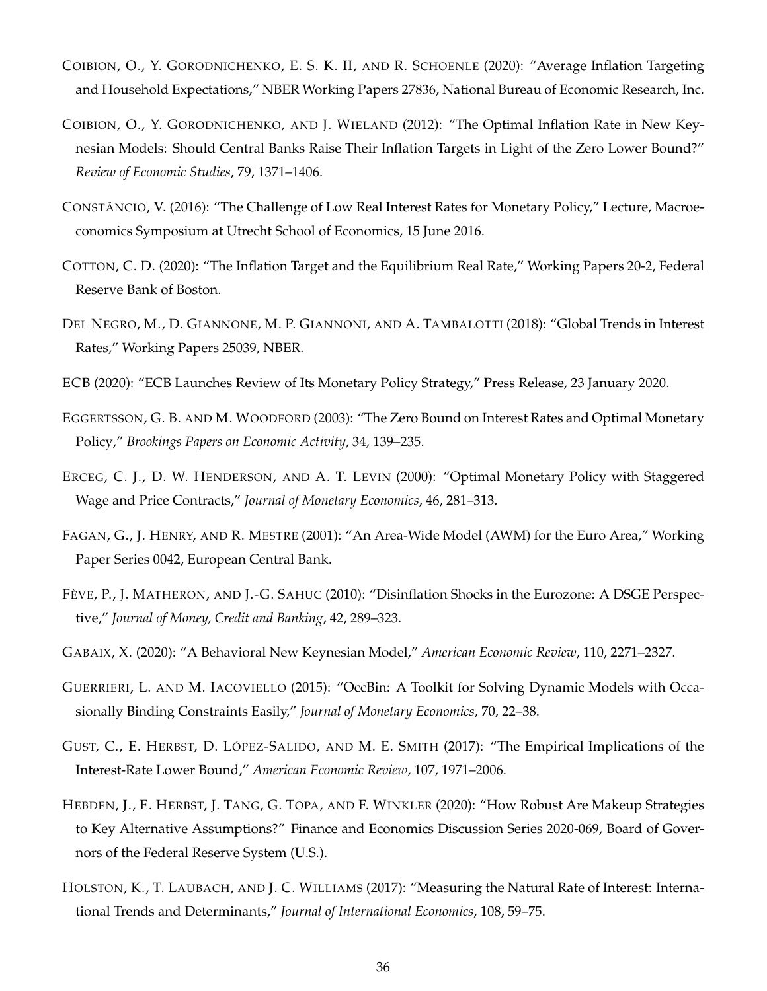- <span id="page-35-13"></span>COIBION, O., Y. GORODNICHENKO, E. S. K. II, AND R. SCHOENLE (2020): "Average Inflation Targeting and Household Expectations," NBER Working Papers 27836, National Bureau of Economic Research, Inc.
- <span id="page-35-4"></span>COIBION, O., Y. GORODNICHENKO, AND J. WIELAND (2012): "The Optimal Inflation Rate in New Keynesian Models: Should Central Banks Raise Their Inflation Targets in Light of the Zero Lower Bound?" *Review of Economic Studies*, 79, 1371–1406.
- <span id="page-35-3"></span>CONSTÂNCIO, V. (2016): "The Challenge of Low Real Interest Rates for Monetary Policy," Lecture, Macroeconomics Symposium at Utrecht School of Economics, 15 June 2016.
- <span id="page-35-7"></span>COTTON, C. D. (2020): "The Inflation Target and the Equilibrium Real Rate," Working Papers 20-2, Federal Reserve Bank of Boston.
- <span id="page-35-1"></span>DEL NEGRO, M., D. GIANNONE, M. P. GIANNONI, AND A. TAMBALOTTI (2018): "Global Trends in Interest Rates," Working Papers 25039, NBER.
- <span id="page-35-0"></span>ECB (2020): "ECB Launches Review of Its Monetary Policy Strategy," Press Release, 23 January 2020.
- <span id="page-35-5"></span>EGGERTSSON, G. B. AND M. WOODFORD (2003): "The Zero Bound on Interest Rates and Optimal Monetary Policy," *Brookings Papers on Economic Activity*, 34, 139–235.
- <span id="page-35-8"></span>ERCEG, C. J., D. W. HENDERSON, AND A. T. LEVIN (2000): "Optimal Monetary Policy with Staggered Wage and Price Contracts," *Journal of Monetary Economics*, 46, 281–313.
- <span id="page-35-10"></span>FAGAN, G., J. HENRY, AND R. MESTRE (2001): "An Area-Wide Model (AWM) for the Euro Area," Working Paper Series 0042, European Central Bank.
- <span id="page-35-9"></span>FÈVE, P., J. MATHERON, AND J.-G. SAHUC (2010): "Disinflation Shocks in the Eurozone: A DSGE Perspective," *Journal of Money, Credit and Banking*, 42, 289–323.
- <span id="page-35-14"></span>GABAIX, X. (2020): "A Behavioral New Keynesian Model," *American Economic Review*, 110, 2271–2327.
- <span id="page-35-11"></span>GUERRIERI, L. AND M. IACOVIELLO (2015): "OccBin: A Toolkit for Solving Dynamic Models with Occasionally Binding Constraints Easily," *Journal of Monetary Economics*, 70, 22–38.
- <span id="page-35-12"></span>GUST, C., E. HERBST, D. LÓPEZ-SALIDO, AND M. E. SMITH (2017): "The Empirical Implications of the Interest-Rate Lower Bound," *American Economic Review*, 107, 1971–2006.
- <span id="page-35-6"></span>HEBDEN, J., E. HERBST, J. TANG, G. TOPA, AND F. WINKLER (2020): "How Robust Are Makeup Strategies to Key Alternative Assumptions?" Finance and Economics Discussion Series 2020-069, Board of Governors of the Federal Reserve System (U.S.).
- <span id="page-35-2"></span>HOLSTON, K., T. LAUBACH, AND J. C. WILLIAMS (2017): "Measuring the Natural Rate of Interest: International Trends and Determinants," *Journal of International Economics*, 108, 59–75.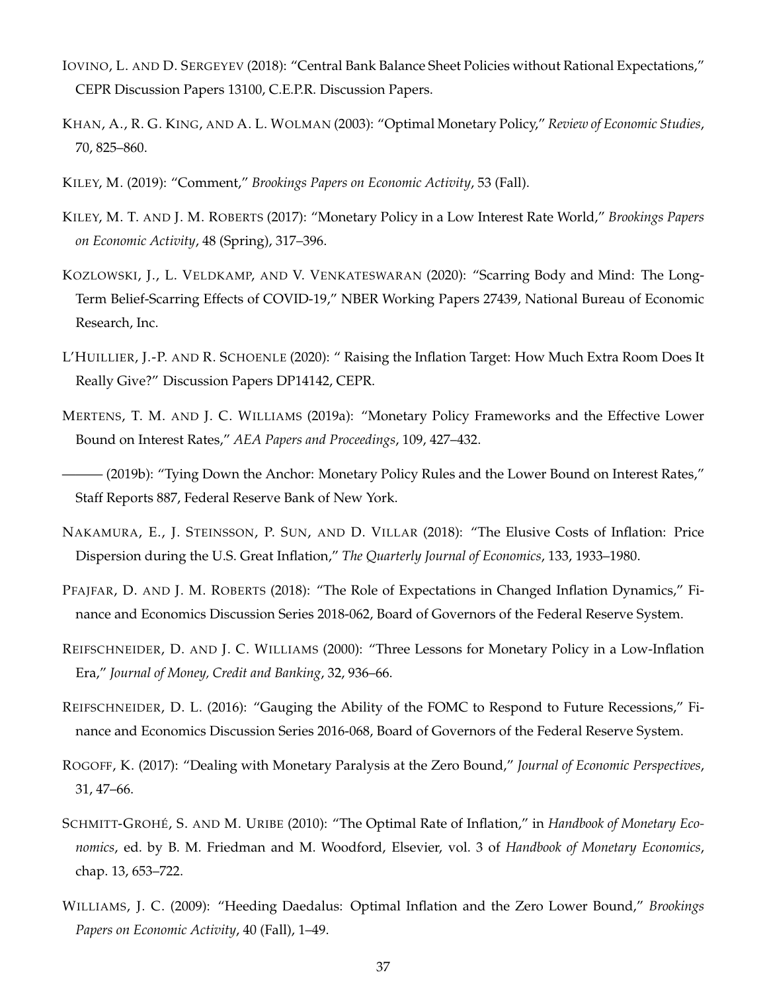- <span id="page-36-14"></span>IOVINO, L. AND D. SERGEYEV (2018): "Central Bank Balance Sheet Policies without Rational Expectations," CEPR Discussion Papers 13100, C.E.P.R. Discussion Papers.
- <span id="page-36-10"></span>KHAN, A., R. G. KING, AND A. L. WOLMAN (2003): "Optimal Monetary Policy," *Review of Economic Studies*, 70, 825–860.
- <span id="page-36-5"></span>KILEY, M. (2019): "Comment," *Brookings Papers on Economic Activity*, 53 (Fall).
- <span id="page-36-7"></span>KILEY, M. T. AND J. M. ROBERTS (2017): "Monetary Policy in a Low Interest Rate World," *Brookings Papers on Economic Activity*, 48 (Spring), 317–396.
- <span id="page-36-0"></span>KOZLOWSKI, J., L. VELDKAMP, AND V. VENKATESWARAN (2020): "Scarring Body and Mind: The Long-Term Belief-Scarring Effects of COVID-19," NBER Working Papers 27439, National Bureau of Economic Research, Inc.
- <span id="page-36-9"></span>L'HUILLIER, J.-P. AND R. SCHOENLE (2020): " Raising the Inflation Target: How Much Extra Room Does It Really Give?" Discussion Papers DP14142, CEPR.
- <span id="page-36-2"></span>MERTENS, T. M. AND J. C. WILLIAMS (2019a): "Monetary Policy Frameworks and the Effective Lower Bound on Interest Rates," *AEA Papers and Proceedings*, 109, 427–432.
- <span id="page-36-8"></span>- (2019b): "Tying Down the Anchor: Monetary Policy Rules and the Lower Bound on Interest Rates," Staff Reports 887, Federal Reserve Bank of New York.
- <span id="page-36-12"></span>NAKAMURA, E., J. STEINSSON, P. SUN, AND D. VILLAR (2018): "The Elusive Costs of Inflation: Price Dispersion during the U.S. Great Inflation," *The Quarterly Journal of Economics*, 133, 1933–1980.
- <span id="page-36-13"></span>PFAJFAR, D. AND J. M. ROBERTS (2018): "The Role of Expectations in Changed Inflation Dynamics," Finance and Economics Discussion Series 2018-062, Board of Governors of the Federal Reserve System.
- <span id="page-36-6"></span>REIFSCHNEIDER, D. AND J. C. WILLIAMS (2000): "Three Lessons for Monetary Policy in a Low-Inflation Era," *Journal of Money, Credit and Banking*, 32, 936–66.
- <span id="page-36-4"></span>REIFSCHNEIDER, D. L. (2016): "Gauging the Ability of the FOMC to Respond to Future Recessions," Finance and Economics Discussion Series 2016-068, Board of Governors of the Federal Reserve System.
- <span id="page-36-1"></span>ROGOFF, K. (2017): "Dealing with Monetary Paralysis at the Zero Bound," *Journal of Economic Perspectives*, 31, 47–66.
- <span id="page-36-3"></span>SCHMITT-GROHÉ, S. AND M. URIBE (2010): "The Optimal Rate of Inflation," in *Handbook of Monetary Economics*, ed. by B. M. Friedman and M. Woodford, Elsevier, vol. 3 of *Handbook of Monetary Economics*, chap. 13, 653–722.
- <span id="page-36-11"></span>WILLIAMS, J. C. (2009): "Heeding Daedalus: Optimal Inflation and the Zero Lower Bound," *Brookings Papers on Economic Activity*, 40 (Fall), 1–49.